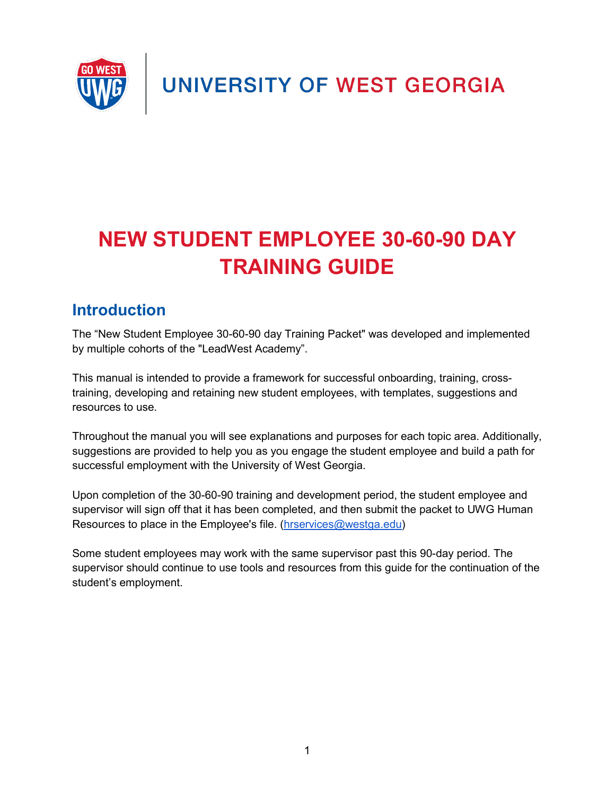UNIVERSITY OF WEST GEORGIA



# **NEW STUDENT EMPLOYEE 30-60-90 DAY TRAINING GUIDE**

### <span id="page-0-0"></span>**Introduction**

The "New Student Employee 30-60-90 day Training Packet" was developed and implemented by multiple cohorts of the "LeadWest Academy".

This manual is intended to provide a framework for successful onboarding, training, crosstraining, developing and retaining new student employees, with templates, suggestions and resources to use.

Throughout the manual you will see explanations and purposes for each topic area. Additionally, suggestions are provided to help you as you engage the student employee and build a path for successful employment with the University of West Georgia.

Upon completion of the 30-60-90 training and development period, the student employee and supervisor will sign off that it has been completed, and then submit the packet to UWG Human Resources to place in the Employee's file. [\(hrservices@westga.edu\)](mailto:hrservices@westga.edu)

Some student employees may work with the same supervisor past this 90-day period. The supervisor should continue to use tools and resources from this guide for the continuation of the student's employment.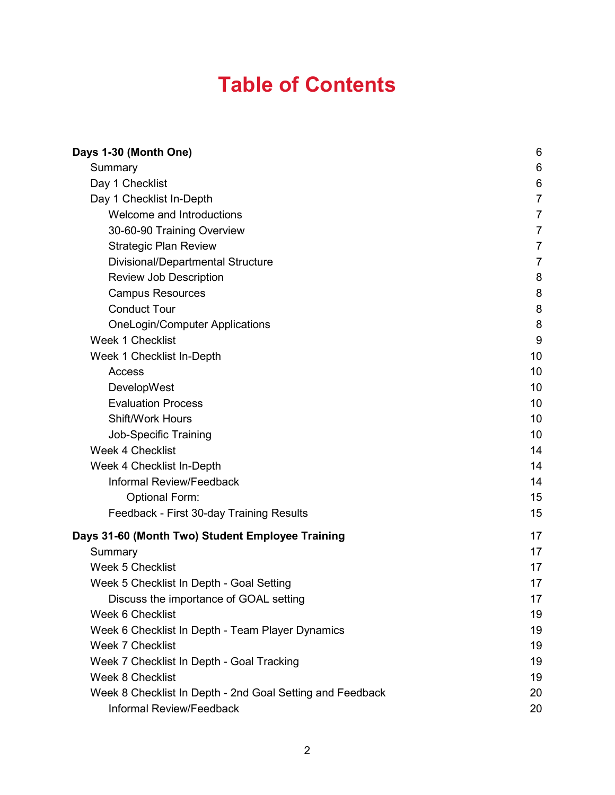# **Table of Contents**

| Days 1-30 (Month One)                                     | 6              |
|-----------------------------------------------------------|----------------|
| Summary                                                   | 6              |
| Day 1 Checklist                                           | 6              |
| Day 1 Checklist In-Depth                                  | $\overline{7}$ |
| Welcome and Introductions                                 | 7              |
| 30-60-90 Training Overview                                | $\overline{7}$ |
| <b>Strategic Plan Review</b>                              | $\overline{7}$ |
| Divisional/Departmental Structure                         | $\overline{7}$ |
| <b>Review Job Description</b>                             | 8              |
| <b>Campus Resources</b>                                   | 8              |
| <b>Conduct Tour</b>                                       | 8              |
| <b>OneLogin/Computer Applications</b>                     | 8              |
| Week 1 Checklist                                          | 9              |
| Week 1 Checklist In-Depth                                 | 10             |
| Access                                                    | 10             |
| DevelopWest                                               | 10             |
| <b>Evaluation Process</b>                                 | 10             |
| <b>Shift/Work Hours</b>                                   | 10             |
| <b>Job-Specific Training</b>                              | 10             |
| <b>Week 4 Checklist</b>                                   | 14             |
| Week 4 Checklist In-Depth                                 | 14             |
| Informal Review/Feedback                                  | 14             |
| <b>Optional Form:</b>                                     | 15             |
| Feedback - First 30-day Training Results                  | 15             |
| Days 31-60 (Month Two) Student Employee Training          | 17             |
| Summary                                                   | 17             |
| <b>Week 5 Checklist</b>                                   | 17             |
| Week 5 Checklist In Depth - Goal Setting                  | 17             |
| Discuss the importance of GOAL setting                    | 17             |
| Week 6 Checklist                                          | 19             |
| Week 6 Checklist In Depth - Team Player Dynamics          | 19             |
| <b>Week 7 Checklist</b>                                   | 19             |
| Week 7 Checklist In Depth - Goal Tracking                 | 19             |
| <b>Week 8 Checklist</b>                                   | 19             |
| Week 8 Checklist In Depth - 2nd Goal Setting and Feedback | 20             |
| Informal Review/Feedback                                  | 20             |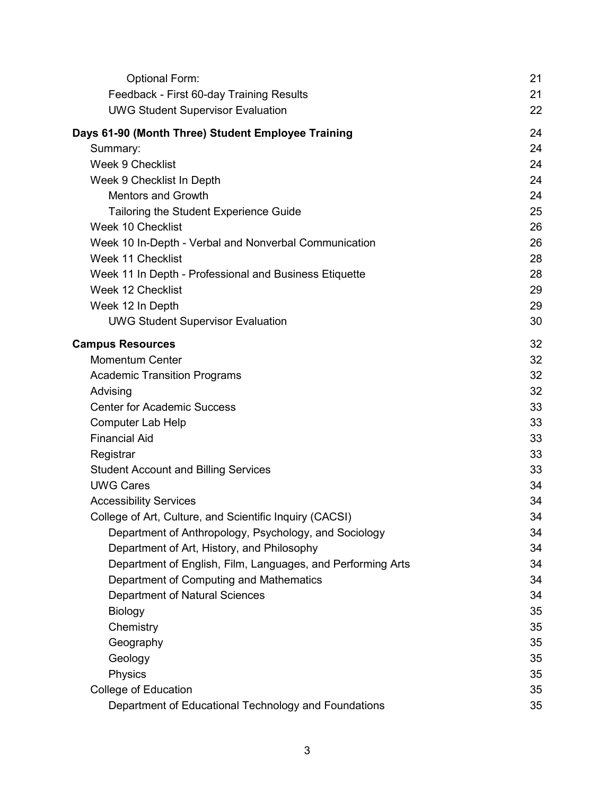| <b>Optional Form:</b>                                       | 21 |
|-------------------------------------------------------------|----|
| Feedback - First 60-day Training Results                    | 21 |
| <b>UWG Student Supervisor Evaluation</b>                    | 22 |
| Days 61-90 (Month Three) Student Employee Training          | 24 |
| Summary:                                                    | 24 |
| <b>Week 9 Checklist</b>                                     | 24 |
| Week 9 Checklist In Depth                                   | 24 |
| <b>Mentors and Growth</b>                                   | 24 |
| Tailoring the Student Experience Guide                      | 25 |
| Week 10 Checklist                                           | 26 |
| Week 10 In-Depth - Verbal and Nonverbal Communication       | 26 |
| Week 11 Checklist                                           | 28 |
| Week 11 In Depth - Professional and Business Etiquette      | 28 |
| Week 12 Checklist                                           | 29 |
| Week 12 In Depth                                            | 29 |
| <b>UWG Student Supervisor Evaluation</b>                    | 30 |
| <b>Campus Resources</b>                                     | 32 |
| <b>Momentum Center</b>                                      | 32 |
| <b>Academic Transition Programs</b>                         | 32 |
| Advising                                                    | 32 |
| <b>Center for Academic Success</b>                          | 33 |
| <b>Computer Lab Help</b>                                    | 33 |
| <b>Financial Aid</b>                                        | 33 |
| Registrar                                                   | 33 |
| <b>Student Account and Billing Services</b>                 | 33 |
| <b>UWG Cares</b>                                            | 34 |
| <b>Accessibility Services</b>                               | 34 |
| College of Art, Culture, and Scientific Inquiry (CACSI)     | 34 |
| Department of Anthropology, Psychology, and Sociology       | 34 |
| Department of Art, History, and Philosophy                  | 34 |
| Department of English, Film, Languages, and Performing Arts | 34 |
| Department of Computing and Mathematics                     | 34 |
| <b>Department of Natural Sciences</b>                       | 34 |
| <b>Biology</b>                                              | 35 |
| Chemistry                                                   | 35 |
| Geography                                                   | 35 |
| Geology                                                     | 35 |
| Physics                                                     | 35 |
| College of Education                                        | 35 |
| Department of Educational Technology and Foundations        | 35 |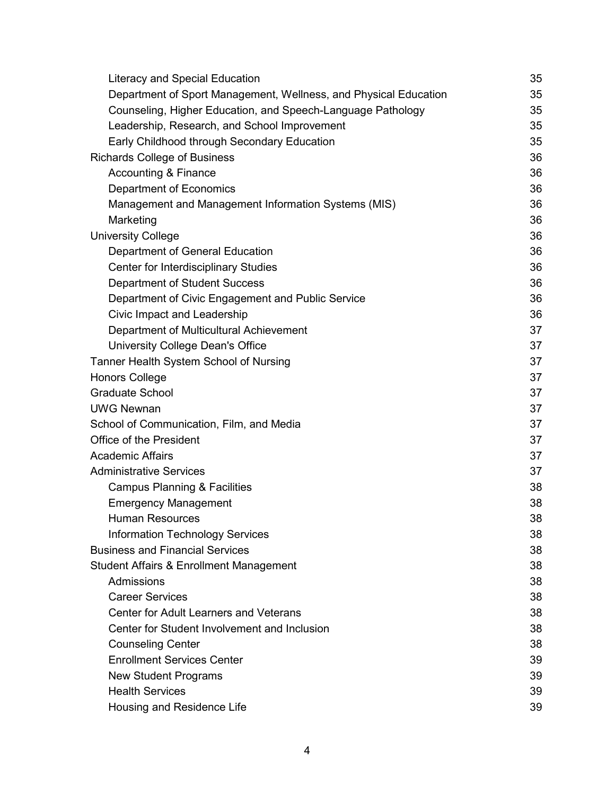| <b>Literacy and Special Education</b>                            | 35 |
|------------------------------------------------------------------|----|
| Department of Sport Management, Wellness, and Physical Education | 35 |
| Counseling, Higher Education, and Speech-Language Pathology      | 35 |
| Leadership, Research, and School Improvement                     | 35 |
| Early Childhood through Secondary Education                      | 35 |
| <b>Richards College of Business</b>                              | 36 |
| <b>Accounting &amp; Finance</b>                                  | 36 |
| <b>Department of Economics</b>                                   | 36 |
| Management and Management Information Systems (MIS)              | 36 |
| Marketing                                                        | 36 |
| <b>University College</b>                                        | 36 |
| Department of General Education                                  | 36 |
| <b>Center for Interdisciplinary Studies</b>                      | 36 |
| <b>Department of Student Success</b>                             | 36 |
| Department of Civic Engagement and Public Service                | 36 |
| Civic Impact and Leadership                                      | 36 |
| Department of Multicultural Achievement                          | 37 |
| University College Dean's Office                                 | 37 |
| Tanner Health System School of Nursing                           | 37 |
| <b>Honors College</b>                                            | 37 |
| <b>Graduate School</b>                                           | 37 |
| <b>UWG Newnan</b>                                                | 37 |
| School of Communication, Film, and Media                         | 37 |
| <b>Office of the President</b>                                   | 37 |
| <b>Academic Affairs</b>                                          | 37 |
| <b>Administrative Services</b>                                   | 37 |
| <b>Campus Planning &amp; Facilities</b>                          | 38 |
| <b>Emergency Management</b>                                      | 38 |
| <b>Human Resources</b>                                           | 38 |
| <b>Information Technology Services</b>                           | 38 |
| <b>Business and Financial Services</b>                           | 38 |
| <b>Student Affairs &amp; Enrollment Management</b>               | 38 |
| Admissions                                                       | 38 |
| <b>Career Services</b>                                           | 38 |
| <b>Center for Adult Learners and Veterans</b>                    | 38 |
| Center for Student Involvement and Inclusion                     | 38 |
| <b>Counseling Center</b>                                         | 38 |
| <b>Enrollment Services Center</b>                                | 39 |
| <b>New Student Programs</b>                                      | 39 |
| <b>Health Services</b>                                           | 39 |
| Housing and Residence Life                                       | 39 |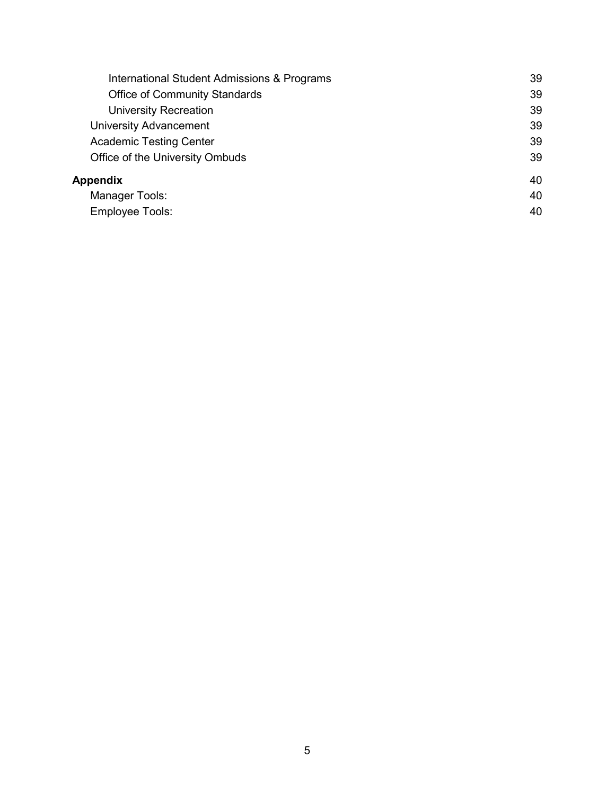| International Student Admissions & Programs | 39 |
|---------------------------------------------|----|
| <b>Office of Community Standards</b>        | 39 |
| <b>University Recreation</b>                | 39 |
| <b>University Advancement</b>               | 39 |
| <b>Academic Testing Center</b>              | 39 |
| Office of the University Ombuds             | 39 |
| Appendix                                    | 40 |
| Manager Tools:                              | 40 |
| <b>Employee Tools:</b>                      | 40 |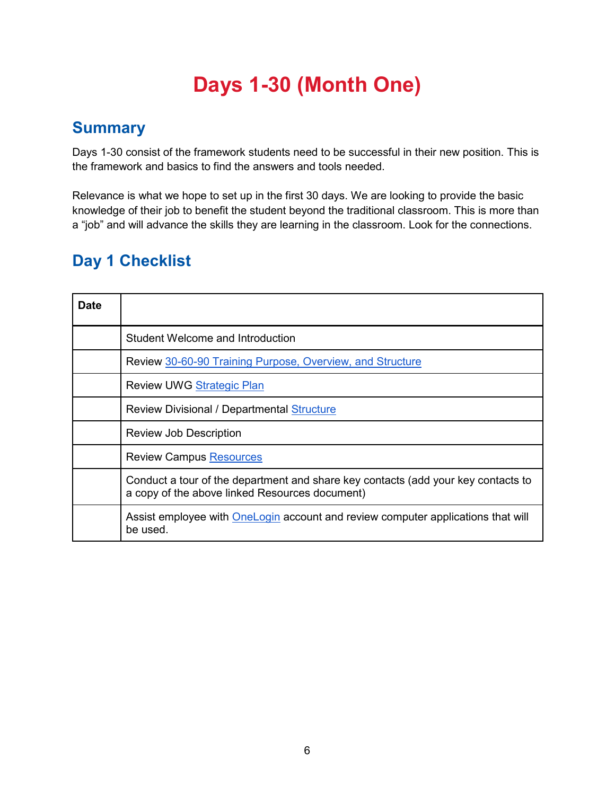# **Days 1-30 (Month One)**

### <span id="page-5-1"></span><span id="page-5-0"></span>**Summary**

Days 1-30 consist of the framework students need to be successful in their new position. This is the framework and basics to find the answers and tools needed.

Relevance is what we hope to set up in the first 30 days. We are looking to provide the basic knowledge of their job to benefit the student beyond the traditional classroom. This is more than a "job" and will advance the skills they are learning in the classroom. Look for the connections.

### <span id="page-5-2"></span>**Day 1 Checklist**

| <b>Date</b> |                                                                                                                                     |
|-------------|-------------------------------------------------------------------------------------------------------------------------------------|
|             | <b>Student Welcome and Introduction</b>                                                                                             |
|             | Review 30-60-90 Training Purpose, Overview, and Structure                                                                           |
|             | <b>Review UWG Strategic Plan</b>                                                                                                    |
|             | <b>Review Divisional / Departmental Structure</b>                                                                                   |
|             | <b>Review Job Description</b>                                                                                                       |
|             | <b>Review Campus Resources</b>                                                                                                      |
|             | Conduct a tour of the department and share key contacts (add your key contacts to<br>a copy of the above linked Resources document) |
|             | Assist employee with OneLogin account and review computer applications that will<br>be used.                                        |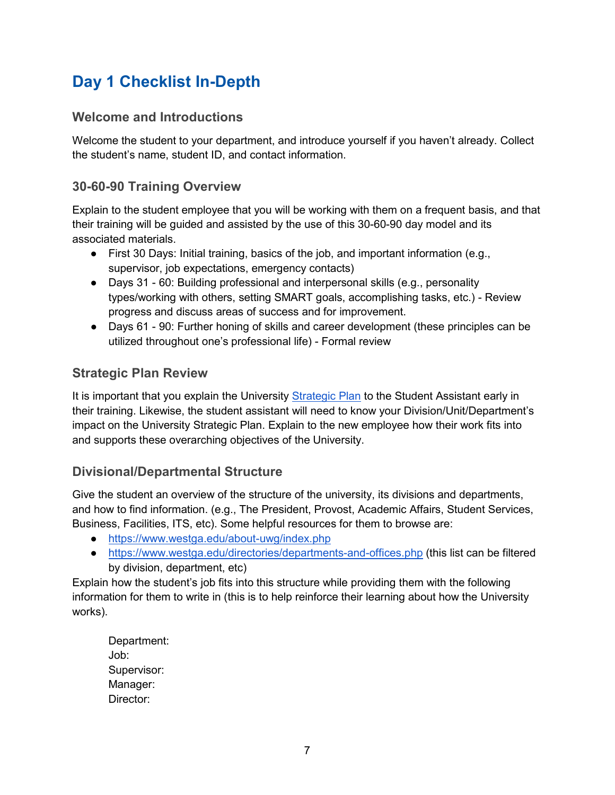### <span id="page-6-0"></span>**Day 1 Checklist In-Depth**

#### <span id="page-6-1"></span>**Welcome and Introductions**

Welcome the student to your department, and introduce yourself if you haven't already. Collect the student's name, student ID, and contact information.

### <span id="page-6-2"></span>**30-60-90 Training Overview**

Explain to the student employee that you will be working with them on a frequent basis, and that their training will be guided and assisted by the use of this 30-60-90 day model and its associated materials.

- $\bullet$  First 30 Days: Initial training, basics of the job, and important information (e.g., supervisor, job expectations, emergency contacts)
- Days 31 60: Building professional and interpersonal skills (e.g., personality types/working with others, setting SMART goals, accomplishing tasks, etc.) - Review progress and discuss areas of success and for improvement.
- Days 61 90: Further honing of skills and career development (these principles can be utilized throughout one's professional life) - Formal review

### <span id="page-6-3"></span>**Strategic Plan Review**

It is important that you explain the University [Strategic Plan](https://www.westga.edu/becominguwg/index.php) to the Student Assistant early in their training. Likewise, the student assistant will need to know your Division/Unit/Department's impact on the University Strategic Plan. Explain to the new employee how their work fits into and supports these overarching objectives of the University.

### <span id="page-6-4"></span>**Divisional/Departmental Structure**

Give the student an overview of the structure of the university, its divisions and departments, and how to find information. (e.g., The President, Provost, Academic Affairs, Student Services, Business, Facilities, ITS, etc). Some helpful resources for them to browse are:

- <https://www.westga.edu/about-uwg/index.php>
- <https://www.westga.edu/directories/departments-and-offices.php> (this list can be filtered by division, department, etc)

Explain how the student's job fits into this structure while providing them with the following information for them to write in (this is to help reinforce their learning about how the University works).

Department: Job: Supervisor: Manager: Director: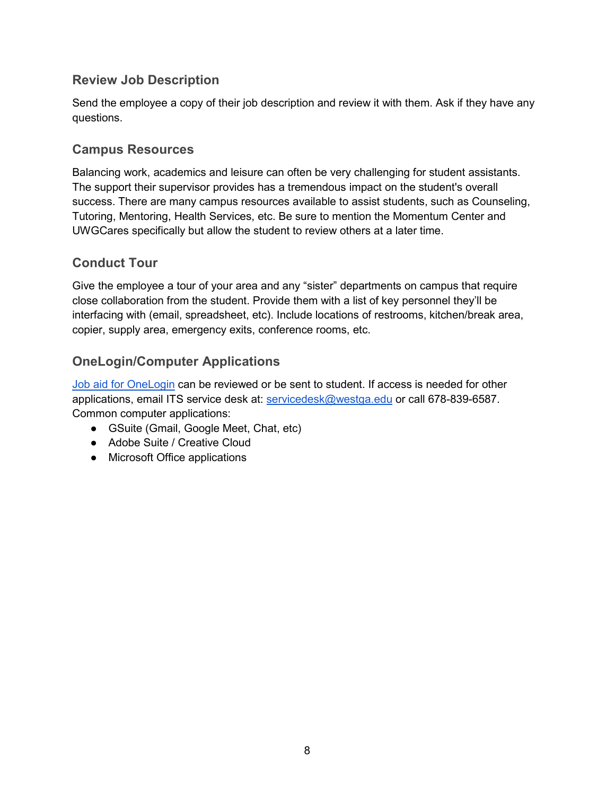#### <span id="page-7-0"></span>**Review Job Description**

Send the employee a copy of their job description and review it with them. Ask if they have any questions.

#### <span id="page-7-1"></span>**Campus Resources**

Balancing work, academics and leisure can often be very challenging for student assistants. The support their supervisor provides has a tremendous impact on the student's overall success. There are many campus resources available to assist students, such as Counseling, Tutoring, Mentoring, Health Services, etc. Be sure to mention the Momentum Center and UWGCares specifically but allow the student to review others at a later time.

#### <span id="page-7-2"></span>**Conduct Tour**

Give the employee a tour of your area and any "sister" departments on campus that require close collaboration from the student. Provide them with a list of key personnel they'll be interfacing with (email, spreadsheet, etc). Include locations of restrooms, kitchen/break area, copier, supply area, emergency exits, conference rooms, etc.

### <span id="page-7-3"></span>**OneLogin/Computer Applications**

[Job aid for OneLogin](https://www.westga.edu/its/onelogin/) can be reviewed or be sent to student. If access is needed for other applications, email ITS service desk at: [servicedesk@westga.edu](mailto:servicedesk@westga.edu) or call 678-839-6587. Common computer applications:

- GSuite (Gmail, Google Meet, Chat, etc)
- Adobe Suite / Creative Cloud
- Microsoft Office applications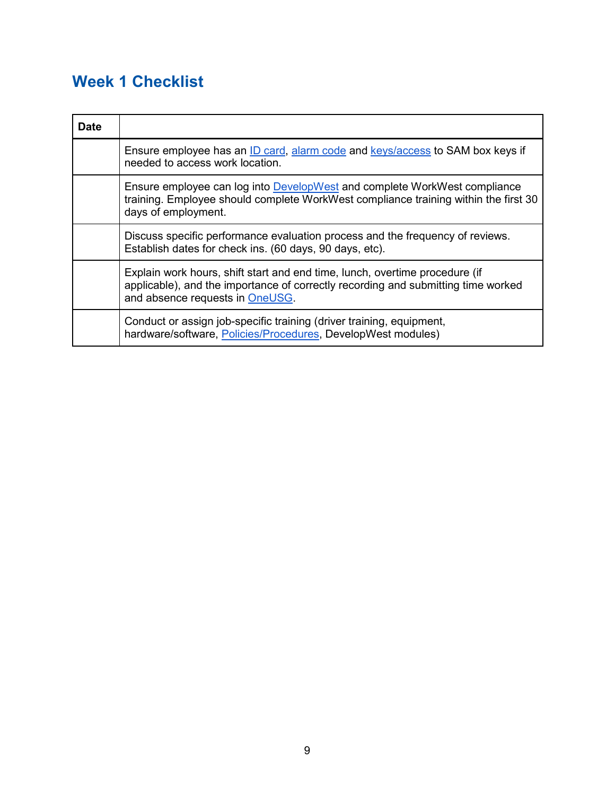## <span id="page-8-0"></span>**Week 1 Checklist**

| <b>Date</b> |                                                                                                                                                                                                     |
|-------------|-----------------------------------------------------------------------------------------------------------------------------------------------------------------------------------------------------|
|             | Ensure employee has an ID card, alarm code and keys/access to SAM box keys if<br>needed to access work location.                                                                                    |
|             | Ensure employee can log into DevelopWest and complete WorkWest compliance<br>training. Employee should complete WorkWest compliance training within the first 30<br>days of employment.             |
|             | Discuss specific performance evaluation process and the frequency of reviews.<br>Establish dates for check ins. (60 days, 90 days, etc).                                                            |
|             | Explain work hours, shift start and end time, lunch, overtime procedure (if<br>applicable), and the importance of correctly recording and submitting time worked<br>and absence requests in OneUSG. |
|             | Conduct or assign job-specific training (driver training, equipment,<br>hardware/software, Policies/Procedures, DevelopWest modules)                                                                |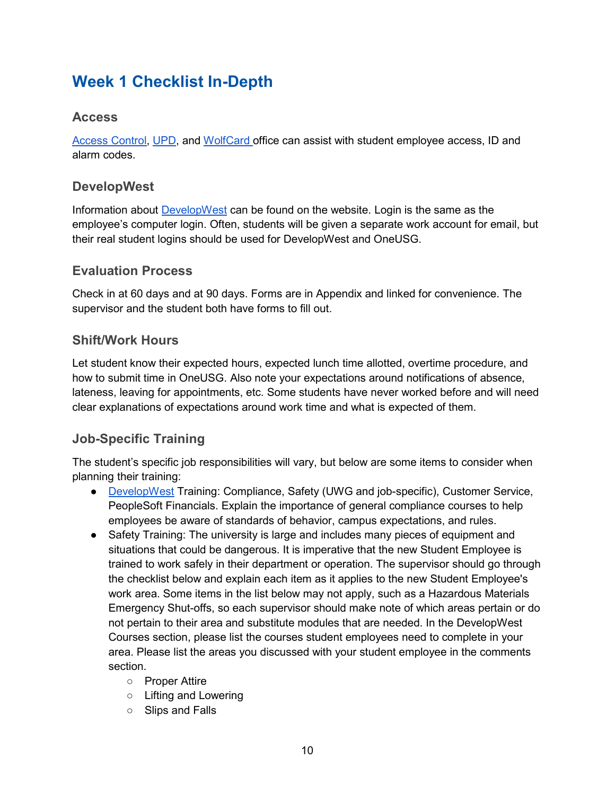### <span id="page-9-0"></span>**Week 1 Checklist In-Depth**

#### <span id="page-9-1"></span>**Access**

[Access Control,](https://www.westga.edu/police/access-control-services.php) [UPD,](https://www.westga.edu/police/) and [WolfCard o](https://www.westga.edu/campus-life/wolvescard/forms.php)ffice can assist with student employee access, ID and alarm codes.

### <span id="page-9-2"></span>**DevelopWest**

Information about [DevelopWest](https://www.westga.edu/hr/devwest.php) can be found on the website. Login is the same as the employee's computer login. Often, students will be given a separate work account for email, but their real student logins should be used for DevelopWest and OneUSG.

#### <span id="page-9-3"></span>**Evaluation Process**

Check in at 60 days and at 90 days. Forms are in Appendix and linked for convenience. The supervisor and the student both have forms to fill out.

### <span id="page-9-4"></span>**Shift/Work Hours**

Let student know their expected hours, expected lunch time allotted, overtime procedure, and how to submit time in OneUSG. Also note your expectations around notifications of absence, lateness, leaving for appointments, etc. Some students have never worked before and will need clear explanations of expectations around work time and what is expected of them.

### <span id="page-9-5"></span>**Job-Specific Training**

The student's specific job responsibilities will vary, but below are some items to consider when planning their training:

- [DevelopWest](https://www.westga.edu/hr/devwest.php) Training: Compliance, Safety (UWG and job-specific), Customer Service, PeopleSoft Financials. Explain the importance of general compliance courses to help employees be aware of standards of behavior, campus expectations, and rules.
- Safety Training: The university is large and includes many pieces of equipment and situations that could be dangerous. It is imperative that the new Student Employee is trained to work safely in their department or operation. The supervisor should go through the checklist below and explain each item as it applies to the new Student Employee's work area. Some items in the list below may not apply, such as a Hazardous Materials Emergency Shut-offs, so each supervisor should make note of which areas pertain or do not pertain to their area and substitute modules that are needed. In the DevelopWest Courses section, please list the courses student employees need to complete in your area. Please list the areas you discussed with your student employee in the comments section.
	- Proper Attire
	- Lifting and Lowering
	- Slips and Falls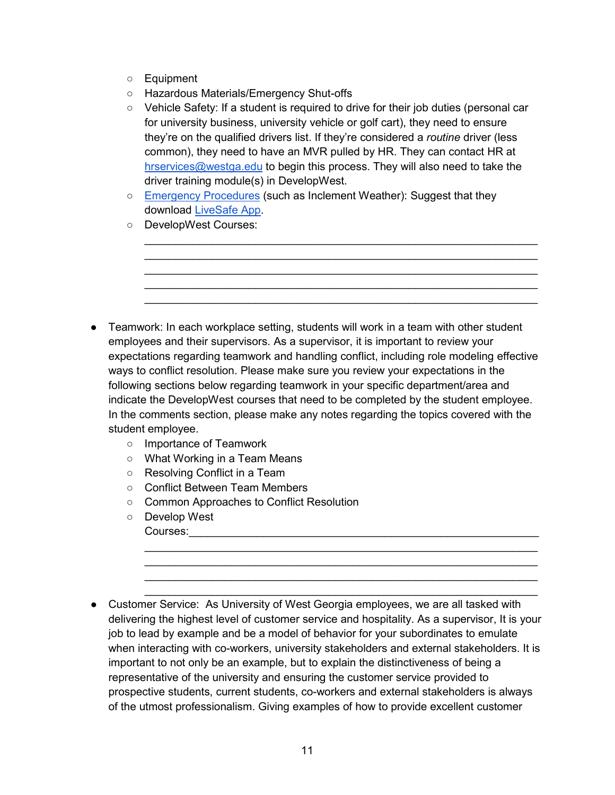- Equipment
- Hazardous Materials/Emergency Shut-offs
- Vehicle Safety: If a student is required to drive for their job duties (personal car for university business, university vehicle or golf cart), they need to ensure they're on the qualified drivers list. If they're considered a *routine* driver (less common), they need to have an MVR pulled by HR. They can contact HR at [hrservices@westga.edu](mailto:hrservices@westga.edu) to begin this process. They will also need to take the driver training module(s) in DevelopWest.

\_\_\_\_\_\_\_\_\_\_\_\_\_\_\_\_\_\_\_\_\_\_\_\_\_\_\_\_\_\_\_\_\_\_\_\_\_\_\_\_\_\_\_\_\_\_\_\_\_\_\_\_\_\_\_\_\_\_\_\_\_\_\_\_ \_\_\_\_\_\_\_\_\_\_\_\_\_\_\_\_\_\_\_\_\_\_\_\_\_\_\_\_\_\_\_\_\_\_\_\_\_\_\_\_\_\_\_\_\_\_\_\_\_\_\_\_\_\_\_\_\_\_\_\_\_\_\_\_  $\mathcal{L}_\text{max}$  , and the contribution of the contribution of the contribution of the contribution of the contribution of the contribution of the contribution of the contribution of the contribution of the contribution of t  $\mathcal{L}_\text{max}$  , and the contribution of the contribution of the contribution of the contribution of the contribution of the contribution of the contribution of the contribution of the contribution of the contribution of t \_\_\_\_\_\_\_\_\_\_\_\_\_\_\_\_\_\_\_\_\_\_\_\_\_\_\_\_\_\_\_\_\_\_\_\_\_\_\_\_\_\_\_\_\_\_\_\_\_\_\_\_\_\_\_\_\_\_\_\_\_\_\_\_

- [Emergency Procedures](https://www.westga.edu/assets/alert/docs/uwg-cemp-2019.pdf) (such as Inclement Weather): Suggest that they download [LiveSafe App.](http://westga.edu/livesafe)
- DevelopWest Courses:

- Teamwork: In each workplace setting, students will work in a team with other student employees and their supervisors. As a supervisor, it is important to review your expectations regarding teamwork and handling conflict, including role modeling effective ways to conflict resolution. Please make sure you review your expectations in the following sections below regarding teamwork in your specific department/area and indicate the DevelopWest courses that need to be completed by the student employee. In the comments section, please make any notes regarding the topics covered with the student employee.
	- Importance of Teamwork
	- What Working in a Team Means
	- Resolving Conflict in a Team
	- Conflict Between Team Members
	- Common Approaches to Conflict Resolution
	- Develop West Courses:\_\_\_\_\_\_\_\_\_\_\_\_\_\_\_\_\_\_\_\_\_\_\_\_\_\_\_\_\_\_\_\_\_\_\_\_\_\_\_\_\_\_\_\_\_\_\_\_\_\_\_\_\_\_\_\_\_
- Customer Service: As University of West Georgia employees, we are all tasked with delivering the highest level of customer service and hospitality. As a supervisor, It is your job to lead by example and be a model of behavior for your subordinates to emulate when interacting with co-workers, university stakeholders and external stakeholders. It is important to not only be an example, but to explain the distinctiveness of being a representative of the university and ensuring the customer service provided to prospective students, current students, co-workers and external stakeholders is always of the utmost professionalism. Giving examples of how to provide excellent customer

 $\_$  ,  $\_$  ,  $\_$  ,  $\_$  ,  $\_$  ,  $\_$  ,  $\_$  ,  $\_$  ,  $\_$  ,  $\_$  ,  $\_$  ,  $\_$  ,  $\_$  ,  $\_$  ,  $\_$  ,  $\_$  ,  $\_$  ,  $\_$  ,  $\_$  ,  $\_$  ,  $\_$  ,  $\_$  ,  $\_$  ,  $\_$  ,  $\_$  ,  $\_$  ,  $\_$  ,  $\_$  ,  $\_$  ,  $\_$  ,  $\_$  ,  $\_$  ,  $\_$  ,  $\_$  ,  $\_$  ,  $\_$  ,  $\_$  , \_\_\_\_\_\_\_\_\_\_\_\_\_\_\_\_\_\_\_\_\_\_\_\_\_\_\_\_\_\_\_\_\_\_\_\_\_\_\_\_\_\_\_\_\_\_\_\_\_\_\_\_\_\_\_\_\_\_\_\_\_\_\_\_ \_\_\_\_\_\_\_\_\_\_\_\_\_\_\_\_\_\_\_\_\_\_\_\_\_\_\_\_\_\_\_\_\_\_\_\_\_\_\_\_\_\_\_\_\_\_\_\_\_\_\_\_\_\_\_\_\_\_\_\_\_\_\_\_ \_\_\_\_\_\_\_\_\_\_\_\_\_\_\_\_\_\_\_\_\_\_\_\_\_\_\_\_\_\_\_\_\_\_\_\_\_\_\_\_\_\_\_\_\_\_\_\_\_\_\_\_\_\_\_\_\_\_\_\_\_\_\_\_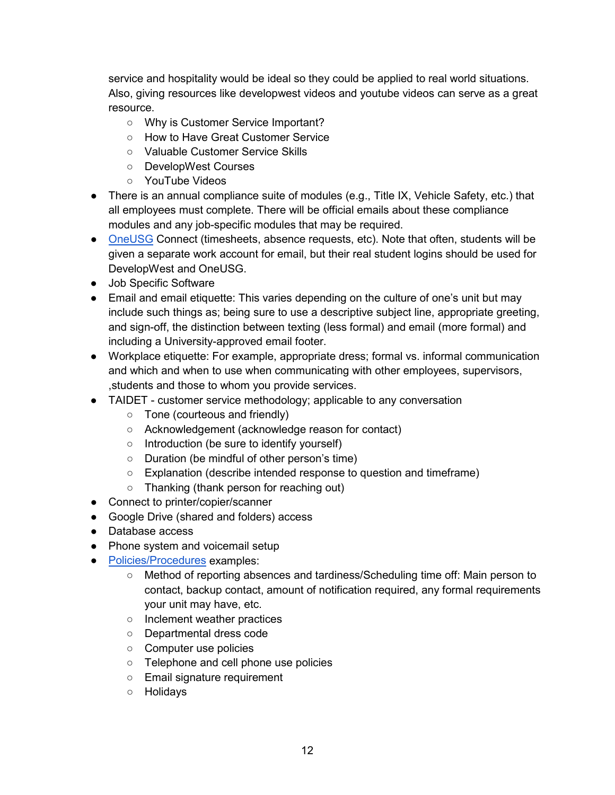service and hospitality would be ideal so they could be applied to real world situations. Also, giving resources like developwest videos and youtube videos can serve as a great resource.

- Why is Customer Service Important?
- How to Have Great Customer Service
- Valuable Customer Service Skills
- DevelopWest Courses
- YouTube Videos
- There is an annual compliance suite of modules (e.g., Title IX, Vehicle Safety, etc.) that all employees must complete. There will be official emails about these compliance modules and any job-specific modules that may be required.
- [OneUSG](https://oneusgconnect.usg.edu/) Connect (timesheets, absence requests, etc). Note that often, students will be given a separate work account for email, but their real student logins should be used for DevelopWest and OneUSG.
- Job Specific Software
- Email and email etiquette: This varies depending on the culture of one's unit but may include such things as; being sure to use a descriptive subject line, appropriate greeting, and sign-off, the distinction between texting (less formal) and email (more formal) and including a University-approved email footer.
- Workplace etiquette: For example, appropriate dress; formal vs. informal communication and which and when to use when communicating with other employees, supervisors, ,students and those to whom you provide services.
- TAIDET customer service methodology; applicable to any conversation
	- Tone (courteous and friendly)
	- Acknowledgement (acknowledge reason for contact)
	- Introduction (be sure to identify yourself)
	- Duration (be mindful of other person's time)
	- Explanation (describe intended response to question and timeframe)
	- Thanking (thank person for reaching out)
- Connect to printer/copier/scanner
- Google Drive (shared and folders) access
- Database access
- Phone system and voicemail setup
- [Policies/Procedures](https://www.westga.edu/administration/provost/uwg-aa-policies.php) examples:
	- Method of reporting absences and tardiness/Scheduling time off: Main person to contact, backup contact, amount of notification required, any formal requirements your unit may have, etc.
	- Inclement weather practices
	- Departmental dress code
	- Computer use policies
	- Telephone and cell phone use policies
	- Email signature requirement
	- Holidays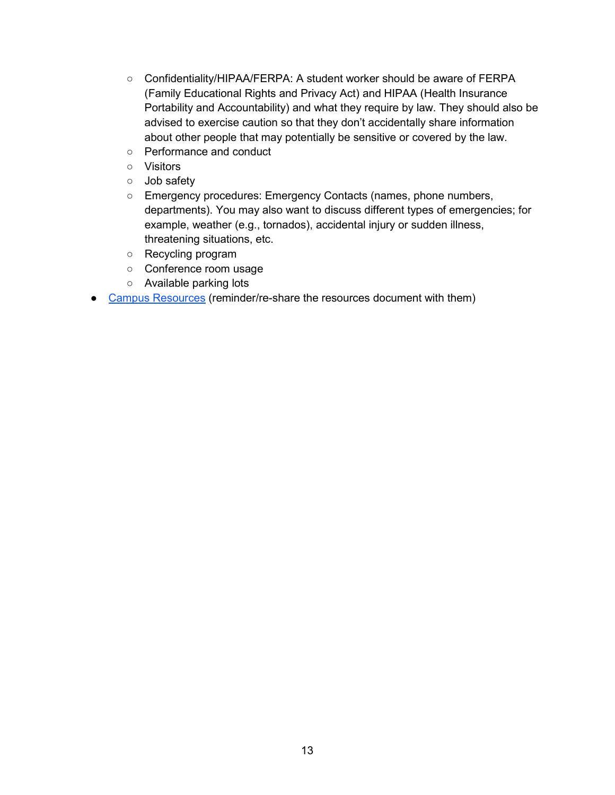- Confidentiality/HIPAA/FERPA: A student worker should be aware of FERPA (Family Educational Rights and Privacy Act) and HIPAA (Health Insurance Portability and Accountability) and what they require by law. They should also be advised to exercise caution so that they don't accidentally share information about other people that may potentially be sensitive or covered by the law.
- Performance and conduct
- Visitors
- Job safety
- Emergency procedures: Emergency Contacts (names, phone numbers, departments). You may also want to discuss different types of emergencies; for example, weather (e.g., tornados), accidental injury or sudden illness, threatening situations, etc.
- Recycling program
- Conference room usage
- Available parking lots
- [Campus Resources](https://docs.google.com/document/d/1S--nHezm15tF13cRVCi1CN-c-4ZPK0fZ4t_9tocN1fY/edit) (reminder/re-share the resources document with them)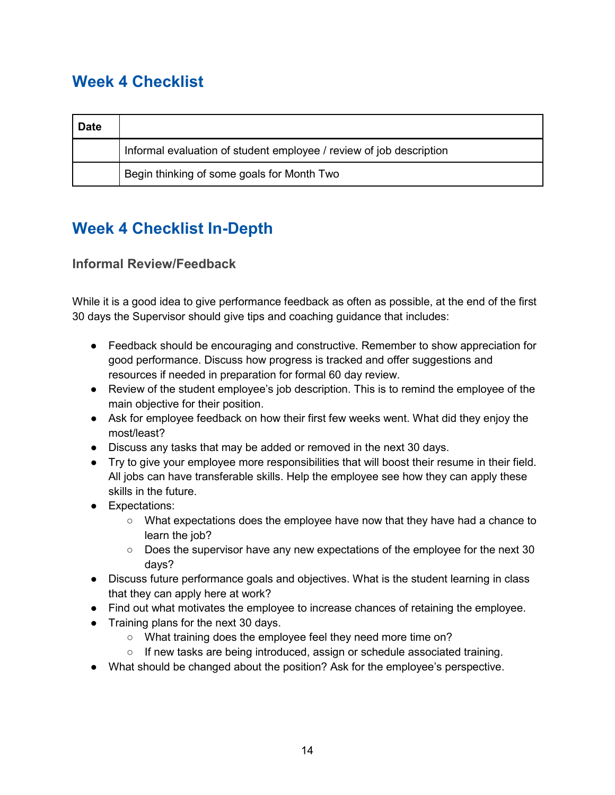### <span id="page-13-0"></span>**Week 4 Checklist**

| <b>Date</b> |                                                                     |
|-------------|---------------------------------------------------------------------|
|             | Informal evaluation of student employee / review of job description |
|             | Begin thinking of some goals for Month Two                          |

### <span id="page-13-1"></span>**Week 4 Checklist In-Depth**

### <span id="page-13-2"></span>**Informal Review/Feedback**

While it is a good idea to give performance feedback as often as possible, at the end of the first 30 days the Supervisor should give tips and coaching guidance that includes:

- Feedback should be encouraging and constructive. Remember to show appreciation for good performance. Discuss how progress is tracked and offer suggestions and resources if needed in preparation for formal 60 day review.
- Review of the student employee's job description. This is to remind the employee of the main objective for their position.
- Ask for employee feedback on how their first few weeks went. What did they enjoy the most/least?
- Discuss any tasks that may be added or removed in the next 30 days.
- Try to give your employee more responsibilities that will boost their resume in their field. All jobs can have transferable skills. Help the employee see how they can apply these skills in the future.
- Expectations:
	- What expectations does the employee have now that they have had a chance to learn the job?
	- $\circ$  Does the supervisor have any new expectations of the employee for the next 30 days?
- Discuss future performance goals and objectives. What is the student learning in class that they can apply here at work?
- Find out what motivates the employee to increase chances of retaining the employee.
- Training plans for the next 30 days.
	- What training does the employee feel they need more time on?
	- If new tasks are being introduced, assign or schedule associated training.
- What should be changed about the position? Ask for the employee's perspective.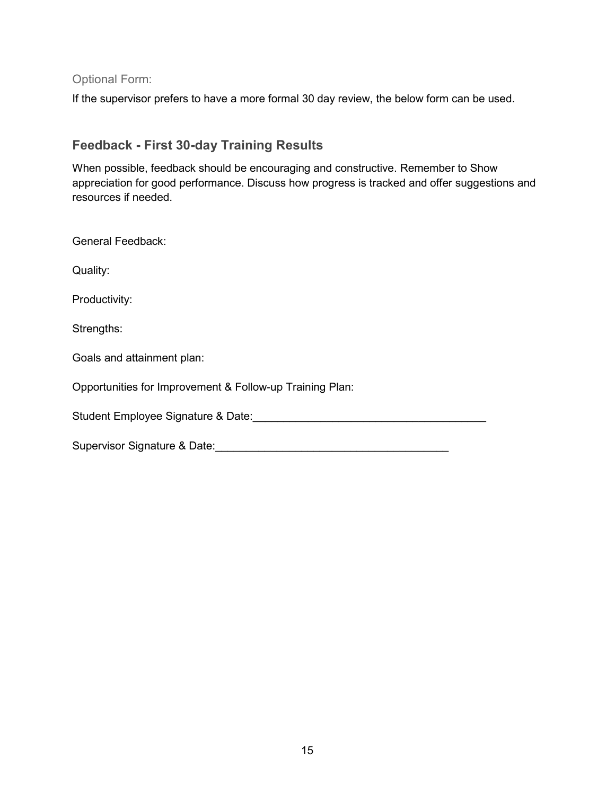<span id="page-14-0"></span>Optional Form:

If the supervisor prefers to have a more formal 30 day review, the below form can be used.

### <span id="page-14-1"></span>**Feedback - First 30-day Training Results**

When possible, feedback should be encouraging and constructive. Remember to Show appreciation for good performance. Discuss how progress is tracked and offer suggestions and resources if needed.

| <b>General Feedback:</b>                                 |
|----------------------------------------------------------|
| Quality:                                                 |
| Productivity:                                            |
| Strengths:                                               |
| Goals and attainment plan:                               |
| Opportunities for Improvement & Follow-up Training Plan: |
| Student Employee Signature & Date:                       |
| Supervisor Signature & Date:                             |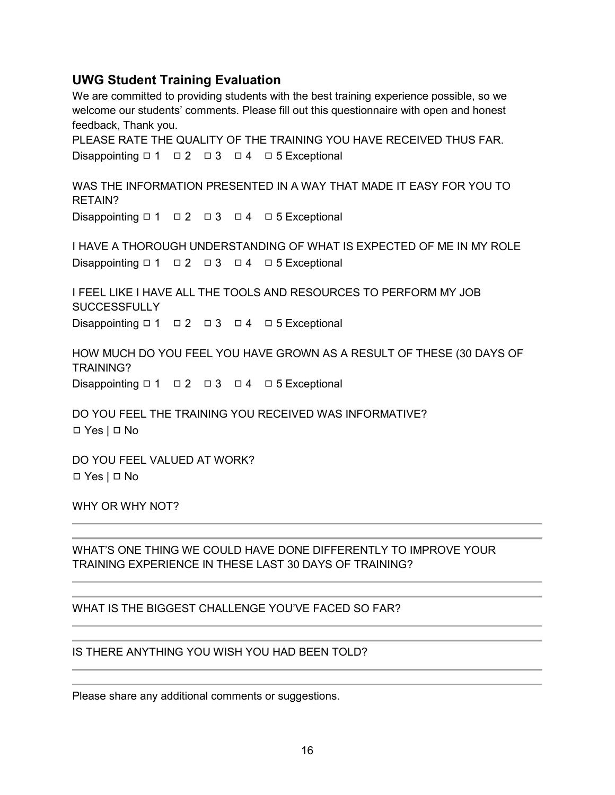#### **UWG Student Training Evaluation**

We are committed to providing students with the best training experience possible, so we welcome our students' comments. Please fill out this questionnaire with open and honest feedback, Thank you.

PLEASE RATE THE QUALITY OF THE TRAINING YOU HAVE RECEIVED THUS FAR. Disappointing □ 1 □ 2 □ 3 □ 4 □ 5 Exceptional

WAS THE INFORMATION PRESENTED IN A WAY THAT MADE IT EASY FOR YOU TO RETAIN? Disappointing □ 1 □ 2 □ 3 □ 4 □ 5 Exceptional

I HAVE A THOROUGH UNDERSTANDING OF WHAT IS EXPECTED OF ME IN MY ROLE Disappointing □ 1 □ 2 □ 3 □ 4 □ 5 Exceptional

I FEEL LIKE I HAVE ALL THE TOOLS AND RESOURCES TO PERFORM MY JOB **SUCCESSFULLY** Disappointing □ 1 □ 2 □ 3 □ 4 □ 5 Exceptional

HOW MUCH DO YOU FEEL YOU HAVE GROWN AS A RESULT OF THESE (30 DAYS OF TRAINING? Disappointing □ 1 □ 2 □ 3 □ 4 □ 5 Exceptional

DO YOU FEEL THE TRAINING YOU RECEIVED WAS INFORMATIVE? ◻ Yes | ◻ No

DO YOU FEEL VALUED AT WORK? ◻ Yes | ◻ No

WHY OR WHY NOT?

WHAT'S ONE THING WE COULD HAVE DONE DIFFERENTLY TO IMPROVE YOUR TRAINING EXPERIENCE IN THESE LAST 30 DAYS OF TRAINING?

WHAT IS THE BIGGEST CHALLENGE YOU'VE FACED SO FAR?

IS THERE ANYTHING YOU WISH YOU HAD BEEN TOLD?

Please share any additional comments or suggestions.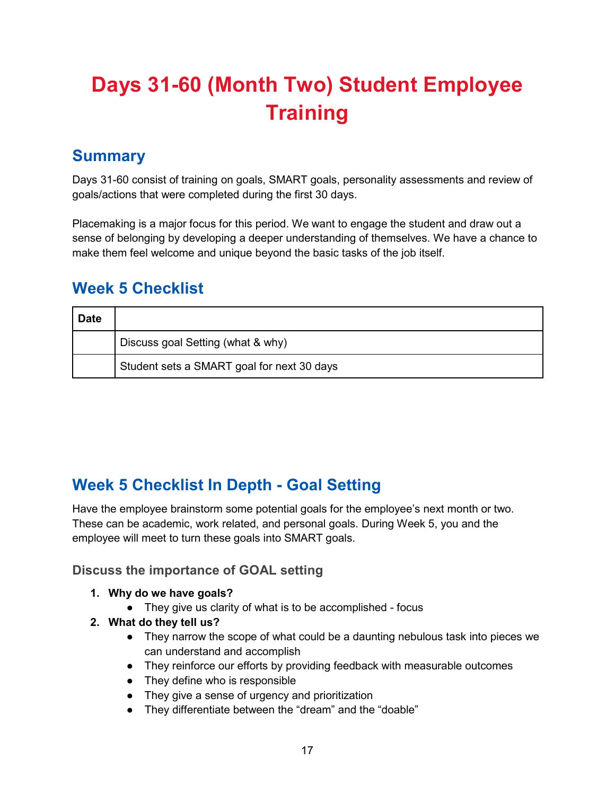# <span id="page-16-0"></span>**Days 31-60 (Month Two) Student Employee Training**

### <span id="page-16-1"></span>**Summary**

Days 31-60 consist of training on goals, SMART goals, personality assessments and review of goals/actions that were completed during the first 30 days.

Placemaking is a major focus for this period. We want to engage the student and draw out a sense of belonging by developing a deeper understanding of themselves. We have a chance to make them feel welcome and unique beyond the basic tasks of the job itself.

### <span id="page-16-2"></span>**Week 5 Checklist**

| <b>Date</b> |                                            |
|-------------|--------------------------------------------|
|             | Discuss goal Setting (what & why)          |
|             | Student sets a SMART goal for next 30 days |

### <span id="page-16-3"></span>**Week 5 Checklist In Depth - Goal Setting**

Have the employee brainstorm some potential goals for the employee's next month or two. These can be academic, work related, and personal goals. During Week 5, you and the employee will meet to turn these goals into SMART goals.

#### <span id="page-16-4"></span>**Discuss the importance of GOAL setting**

- **1. Why do we have goals?**
	- They give us clarity of what is to be accomplished focus
- **2. What do they tell us?** 
	- They narrow the scope of what could be a daunting nebulous task into pieces we can understand and accomplish
	- They reinforce our efforts by providing feedback with measurable outcomes
	- They define who is responsible
	- They give a sense of urgency and prioritization
	- They differentiate between the "dream" and the "doable"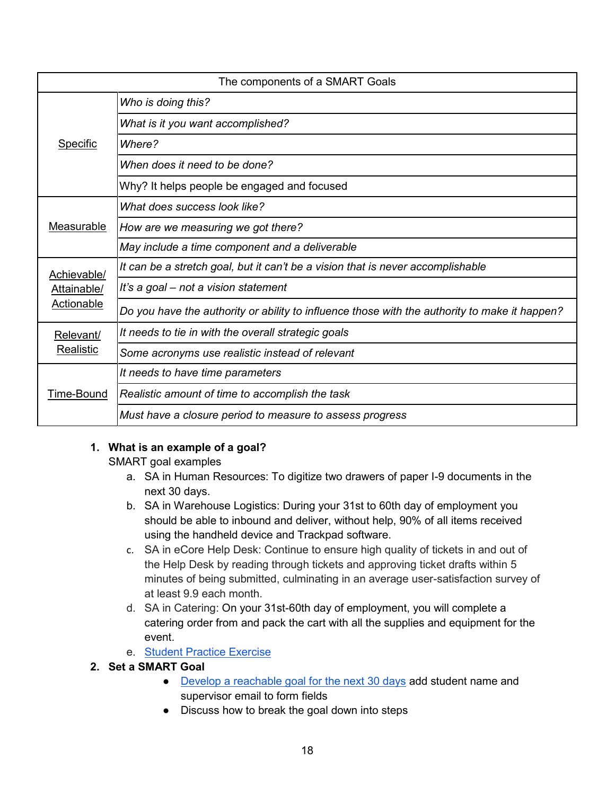| The components of a SMART Goals |                                                                                               |
|---------------------------------|-----------------------------------------------------------------------------------------------|
| Specific                        | Who is doing this?                                                                            |
|                                 | What is it you want accomplished?                                                             |
|                                 | Where?                                                                                        |
|                                 | When does it need to be done?                                                                 |
|                                 | Why? It helps people be engaged and focused                                                   |
|                                 | What does success look like?                                                                  |
| <b>Measurable</b>               | How are we measuring we got there?                                                            |
|                                 | May include a time component and a deliverable                                                |
| Achievable/                     | It can be a stretch goal, but it can't be a vision that is never accomplishable               |
| Attainable/                     | It's a goal – not a vision statement                                                          |
| <b>Actionable</b>               | Do you have the authority or ability to influence those with the authority to make it happen? |
| Relevant/                       | It needs to tie in with the overall strategic goals                                           |
| Realistic                       | Some acronyms use realistic instead of relevant                                               |
|                                 | It needs to have time parameters                                                              |
| Time-Bound                      | Realistic amount of time to accomplish the task                                               |
|                                 | Must have a closure period to measure to assess progress                                      |

#### **1. What is an example of a goal?**

SMART goal examples

- a. SA in Human Resources: To digitize two drawers of paper I-9 documents in the next 30 days.
- b. SA in Warehouse Logistics: During your 31st to 60th day of employment you should be able to inbound and deliver, without help, 90% of all items received using the handheld device and Trackpad software.
- c. SA in eCore Help Desk: Continue to ensure high quality of tickets in and out of the Help Desk by reading through tickets and approving ticket drafts within 5 minutes of being submitted, culminating in an average user-satisfaction survey of at least 9.9 each month.
- d. SA in Catering: On your 31st-60th day of employment, you will complete a catering order from and pack the cart with all the supplies and equipment for the event.
- e. [Student Practice Exercise](https://forms.gle/Czepah253euiRp3C8)
- **2. Set a SMART Goal**
	- [Develop a reachable goal for the next 30 days](https://forms.gle/vFhqbJPUkKi9bg2T8) add student name and supervisor email to form fields
	- Discuss how to break the goal down into steps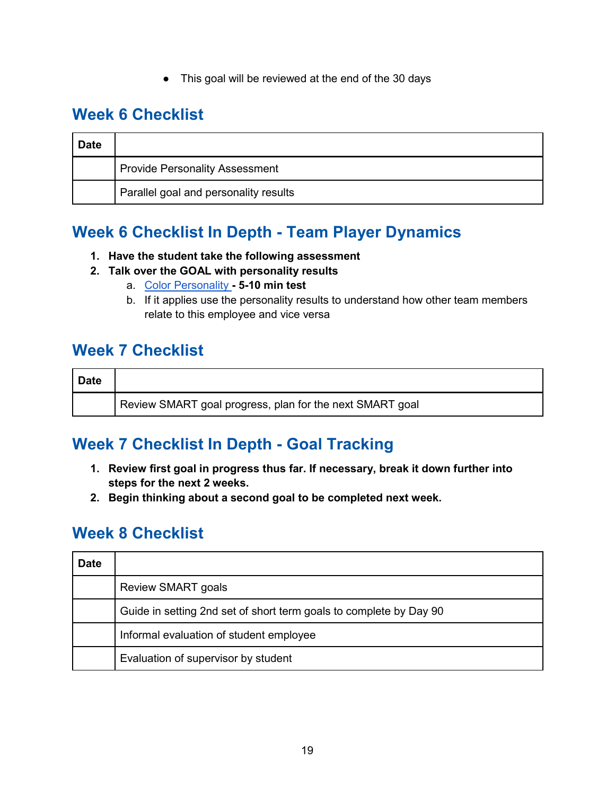● This goal will be reviewed at the end of the 30 days

### <span id="page-18-0"></span>**Week 6 Checklist**

| <b>Date</b> |                                       |
|-------------|---------------------------------------|
|             | <b>Provide Personality Assessment</b> |
|             | Parallel goal and personality results |

### <span id="page-18-1"></span>**Week 6 Checklist In Depth - Team Player Dynamics**

#### **1. Have the student take the following assessment**

#### **2. Talk over the GOAL with personality results**

- a. [Color Personality](https://my-personality-test.com/true-colours)  **5-10 min test**
- b. If it applies use the personality results to understand how other team members relate to this employee and vice versa

### <span id="page-18-2"></span>**Week 7 Checklist**

| <b>Date</b> |                                                          |
|-------------|----------------------------------------------------------|
|             | Review SMART goal progress, plan for the next SMART goal |

### <span id="page-18-3"></span>**Week 7 Checklist In Depth - Goal Tracking**

- **1. Review first goal in progress thus far. If necessary, break it down further into steps for the next 2 weeks.**
- **2. Begin thinking about a second goal to be completed next week.**

### <span id="page-18-4"></span>**Week 8 Checklist**

| <b>Date</b> |                                                                    |
|-------------|--------------------------------------------------------------------|
|             | <b>Review SMART goals</b>                                          |
|             | Guide in setting 2nd set of short term goals to complete by Day 90 |
|             | Informal evaluation of student employee                            |
|             | Evaluation of supervisor by student                                |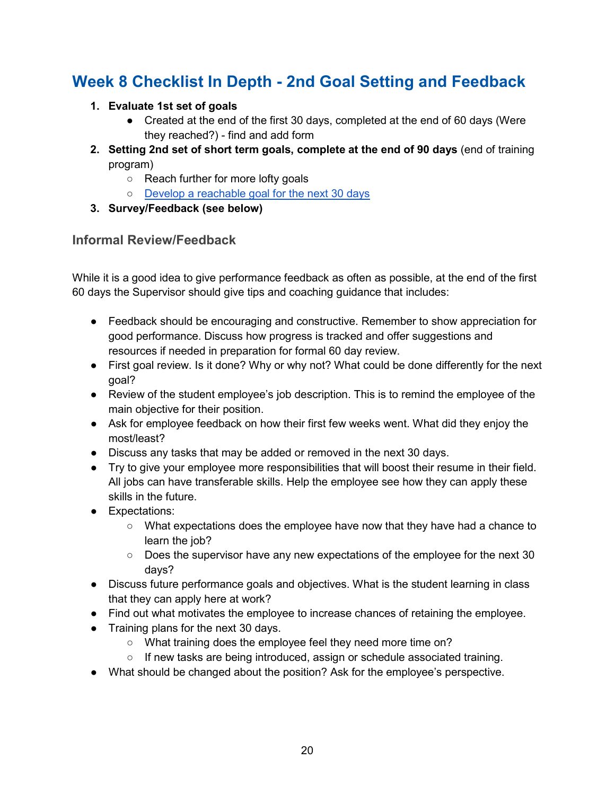### <span id="page-19-0"></span>**Week 8 Checklist In Depth - 2nd Goal Setting and Feedback**

- **1. Evaluate 1st set of goals** 
	- Created at the end of the first 30 days, completed at the end of 60 days (Were they reached?) - find and add form
- **2. Setting 2nd set of short term goals, complete at the end of 90 days** (end of training program)
	- Reach further for more lofty goals
	- [Develop a reachable goal for the next 30 days](https://forms.gle/vFhqbJPUkKi9bg2T8)
- **3. Survey/Feedback (see below)**

#### <span id="page-19-1"></span>**Informal Review/Feedback**

While it is a good idea to give performance feedback as often as possible, at the end of the first 60 days the Supervisor should give tips and coaching guidance that includes:

- Feedback should be encouraging and constructive. Remember to show appreciation for good performance. Discuss how progress is tracked and offer suggestions and resources if needed in preparation for formal 60 day review.
- First goal review. Is it done? Why or why not? What could be done differently for the next goal?
- Review of the student employee's job description. This is to remind the employee of the main objective for their position.
- Ask for employee feedback on how their first few weeks went. What did they enjoy the most/least?
- Discuss any tasks that may be added or removed in the next 30 days.
- Try to give your employee more responsibilities that will boost their resume in their field. All jobs can have transferable skills. Help the employee see how they can apply these skills in the future.
- Expectations:
	- What expectations does the employee have now that they have had a chance to learn the job?
	- Does the supervisor have any new expectations of the employee for the next 30 days?
- Discuss future performance goals and objectives. What is the student learning in class that they can apply here at work?
- Find out what motivates the employee to increase chances of retaining the employee.
- Training plans for the next 30 days.
	- What training does the employee feel they need more time on?
	- If new tasks are being introduced, assign or schedule associated training.
- What should be changed about the position? Ask for the employee's perspective.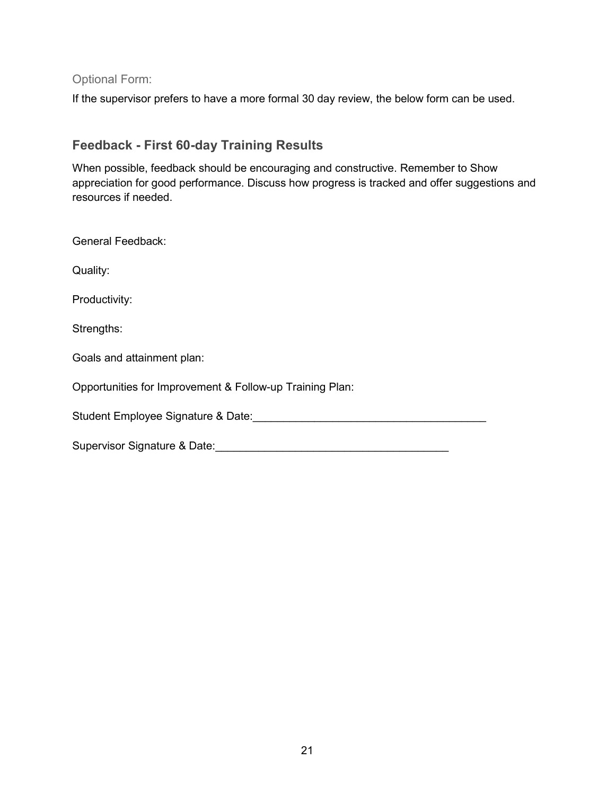<span id="page-20-0"></span>Optional Form:

If the supervisor prefers to have a more formal 30 day review, the below form can be used.

### <span id="page-20-1"></span>**Feedback - First 60-day Training Results**

When possible, feedback should be encouraging and constructive. Remember to Show appreciation for good performance. Discuss how progress is tracked and offer suggestions and resources if needed.

| <b>General Feedback:</b>                                 |  |  |
|----------------------------------------------------------|--|--|
| Quality:                                                 |  |  |
| Productivity:                                            |  |  |
| Strengths:                                               |  |  |
| Goals and attainment plan:                               |  |  |
| Opportunities for Improvement & Follow-up Training Plan: |  |  |
| Student Employee Signature & Date:                       |  |  |
| Supervisor Signature & Date:                             |  |  |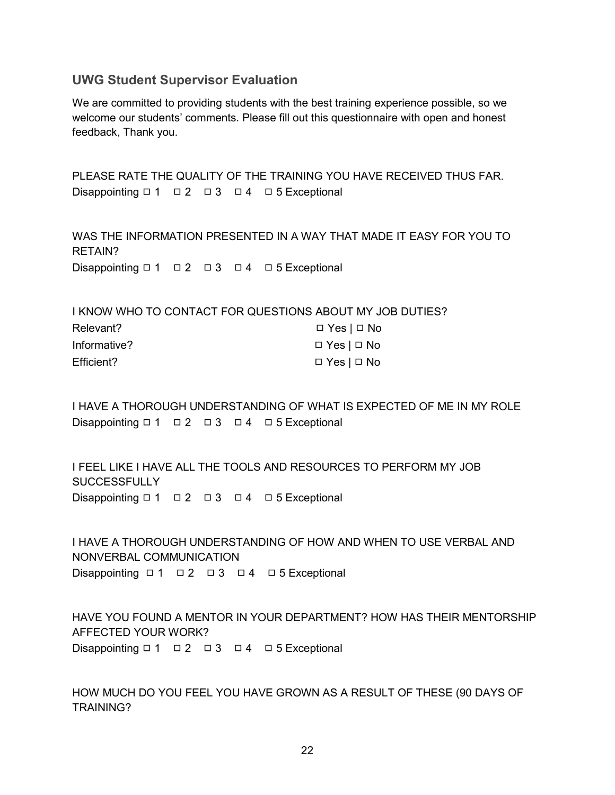#### <span id="page-21-0"></span>**UWG Student Supervisor Evaluation**

We are committed to providing students with the best training experience possible, so we welcome our students' comments. Please fill out this questionnaire with open and honest feedback, Thank you.

PLEASE RATE THE QUALITY OF THE TRAINING YOU HAVE RECEIVED THUS FAR. Disappointing □ 1 □ 2 □ 3 □ 4 □ 5 Exceptional

WAS THE INFORMATION PRESENTED IN A WAY THAT MADE IT EASY FOR YOU TO RETAIN? Disappointing □ 1 □ 2 □ 3 □ 4 □ 5 Exceptional

I KNOW WHO TO CONTACT FOR QUESTIONS ABOUT MY JOB DUTIES?

| Relevant?    | $\Box$ Yes $\Box$ No |
|--------------|----------------------|
| Informative? | $\Box$ Yes $\Box$ No |
| Efficient?   | $\Box$ Yes $\Box$ No |

I HAVE A THOROUGH UNDERSTANDING OF WHAT IS EXPECTED OF ME IN MY ROLE Disappointing □ 1 □ 2 □ 3 □ 4 □ 5 Exceptional

I FEEL LIKE I HAVE ALL THE TOOLS AND RESOURCES TO PERFORM MY JOB **SUCCESSFULLY** Disappointing □ 1 □ 2 □ 3 □ 4 □ 5 Exceptional

I HAVE A THOROUGH UNDERSTANDING OF HOW AND WHEN TO USE VERBAL AND NONVERBAL COMMUNICATION Disappointing ロ1 ロ2 ロ3 ロ4 ロ5 Exceptional

HAVE YOU FOUND A MENTOR IN YOUR DEPARTMENT? HOW HAS THEIR MENTORSHIP AFFECTED YOUR WORK? Disappointing □ 1 □ 2 □ 3 □ 4 □ 5 Exceptional

HOW MUCH DO YOU FEEL YOU HAVE GROWN AS A RESULT OF THESE (90 DAYS OF TRAINING?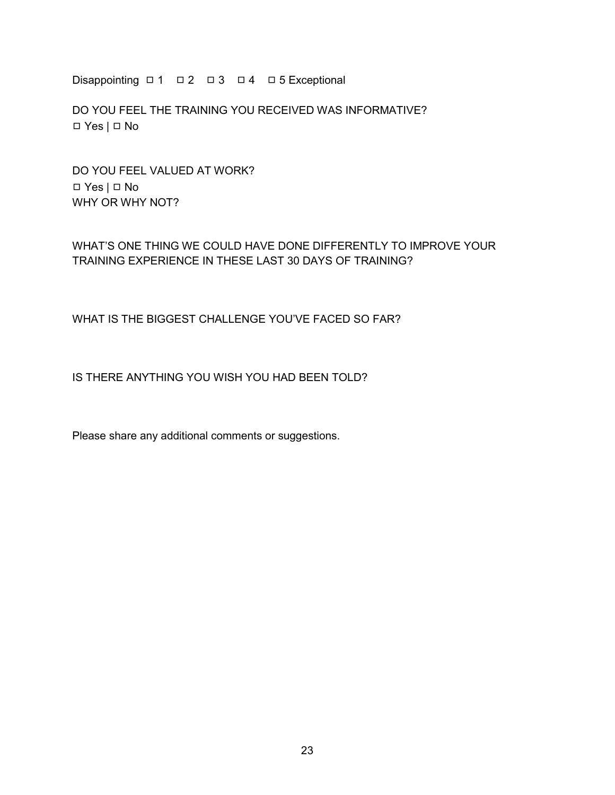Disappointing □ 1 □ 2 □ 3 □ 4 □ 5 Exceptional

DO YOU FEEL THE TRAINING YOU RECEIVED WAS INFORMATIVE? ◻ Yes | ◻ No

DO YOU FEEL VALUED AT WORK? ◻ Yes | ◻ No WHY OR WHY NOT?

#### WHAT'S ONE THING WE COULD HAVE DONE DIFFERENTLY TO IMPROVE YOUR TRAINING EXPERIENCE IN THESE LAST 30 DAYS OF TRAINING?

WHAT IS THE BIGGEST CHALLENGE YOU'VE FACED SO FAR?

IS THERE ANYTHING YOU WISH YOU HAD BEEN TOLD?

Please share any additional comments or suggestions.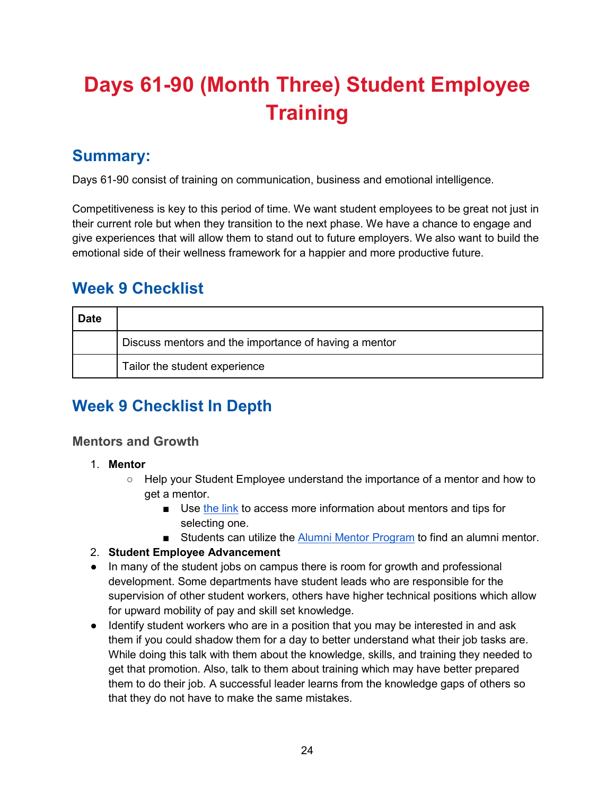# <span id="page-23-0"></span>**Days 61-90 (Month Three) Student Employee Training**

### <span id="page-23-1"></span>**Summary:**

Days 61-90 consist of training on communication, business and emotional intelligence.

Competitiveness is key to this period of time. We want student employees to be great not just in their current role but when they transition to the next phase. We have a chance to engage and give experiences that will allow them to stand out to future employers. We also want to build the emotional side of their wellness framework for a happier and more productive future.

### <span id="page-23-2"></span>**Week 9 Checklist**

| <b>Date</b> |                                                       |
|-------------|-------------------------------------------------------|
|             | Discuss mentors and the importance of having a mentor |
|             | Tailor the student experience                         |

### <span id="page-23-3"></span>**Week 9 Checklist In Depth**

#### <span id="page-23-4"></span>**Mentors and Growth**

- 1. **Mentor**
	- Help your Student Employee understand the importance of a mentor and how to get a mentor.
		- Use [the link](https://docs.google.com/document/d/1JqK5QeGl9esutMUXSMzwXFsqN9u7nRJhjcMXTXnPOLM/edit?usp=sharing) to access more information about mentors and tips for selecting one.
		- Students can utilize the [Alumni Mentor Program](https://www.westga.edu/alumni/mentor-program.php) to find an alumni mentor.

#### 2. **Student Employee Advancement**

- In many of the student jobs on campus there is room for growth and professional development. Some departments have student leads who are responsible for the supervision of other student workers, others have higher technical positions which allow for upward mobility of pay and skill set knowledge.
- Identify student workers who are in a position that you may be interested in and ask them if you could shadow them for a day to better understand what their job tasks are. While doing this talk with them about the knowledge, skills, and training they needed to get that promotion. Also, talk to them about training which may have better prepared them to do their job. A successful leader learns from the knowledge gaps of others so that they do not have to make the same mistakes.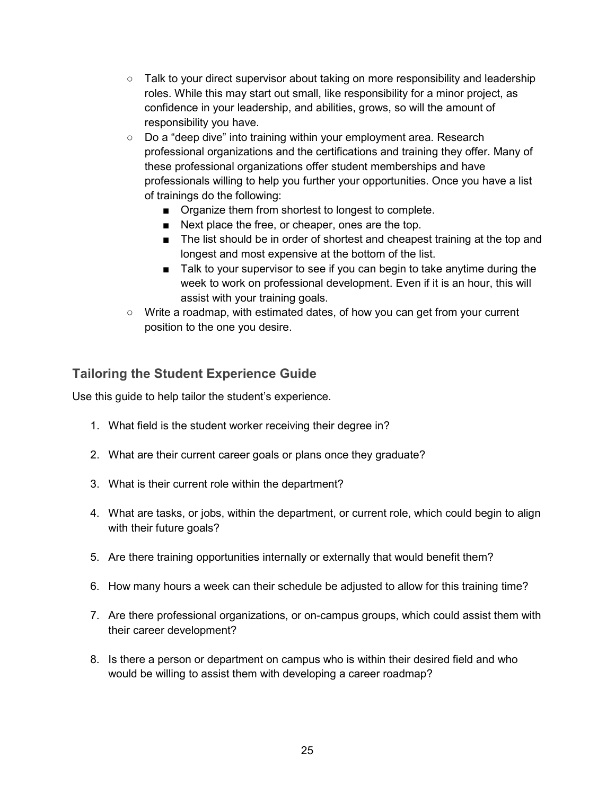- $\circ$  Talk to your direct supervisor about taking on more responsibility and leadership roles. While this may start out small, like responsibility for a minor project, as confidence in your leadership, and abilities, grows, so will the amount of responsibility you have.
- Do a "deep dive" into training within your employment area. Research professional organizations and the certifications and training they offer. Many of these professional organizations offer student memberships and have professionals willing to help you further your opportunities. Once you have a list of trainings do the following:
	- Organize them from shortest to longest to complete.
	- Next place the free, or cheaper, ones are the top.
	- The list should be in order of shortest and cheapest training at the top and longest and most expensive at the bottom of the list.
	- Talk to your supervisor to see if you can begin to take anytime during the week to work on professional development. Even if it is an hour, this will assist with your training goals.
- $\circ$  Write a roadmap, with estimated dates, of how you can get from your current position to the one you desire.

### <span id="page-24-0"></span>**Tailoring the Student Experience Guide**

Use this guide to help tailor the student's experience.

- 1. What field is the student worker receiving their degree in?
- 2. What are their current career goals or plans once they graduate?
- 3. What is their current role within the department?
- 4. What are tasks, or jobs, within the department, or current role, which could begin to align with their future goals?
- 5. Are there training opportunities internally or externally that would benefit them?
- 6. How many hours a week can their schedule be adjusted to allow for this training time?
- 7. Are there professional organizations, or on-campus groups, which could assist them with their career development?
- 8. Is there a person or department on campus who is within their desired field and who would be willing to assist them with developing a career roadmap?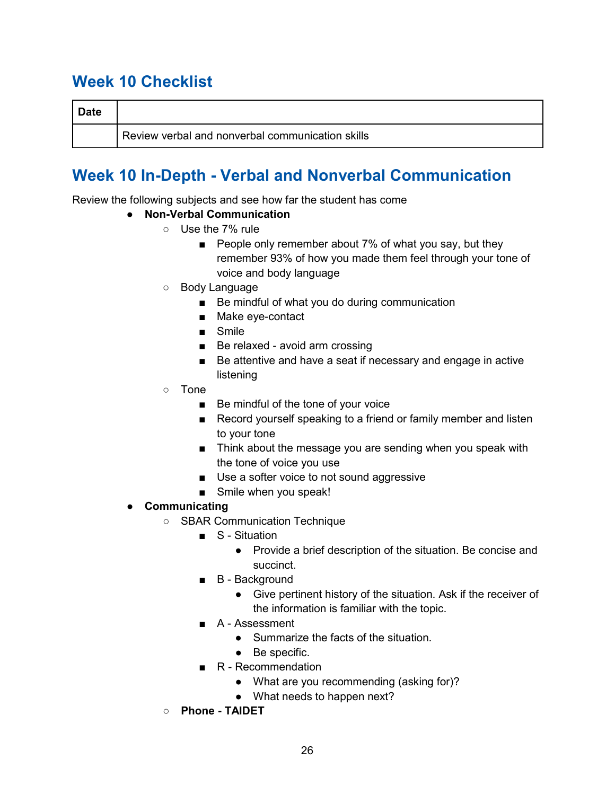### <span id="page-25-0"></span>**Week 10 Checklist**

| <b>Date</b> |                                                  |
|-------------|--------------------------------------------------|
|             | Review verbal and nonverbal communication skills |

## <span id="page-25-1"></span>**Week 10 In-Depth - Verbal and Nonverbal Communication**

Review the following subjects and see how far the student has come

- **Non-Verbal Communication**
	- Use the 7% rule
		- People only remember about 7% of what you say, but they remember 93% of how you made them feel through your tone of voice and body language
	- Body Language
		- Be mindful of what you do during communication
		- Make eye-contact
		- Smile
		- Be relaxed avoid arm crossing
		- Be attentive and have a seat if necessary and engage in active listening
	- Tone
		- Be mindful of the tone of your voice
		- Record yourself speaking to a friend or family member and listen to your tone
		- Think about the message you are sending when you speak with the tone of voice you use
		- Use a softer voice to not sound aggressive
		- Smile when you speak!
- **Communicating**
	- SBAR Communication Technique
		- S Situation
			- Provide a brief description of the situation. Be concise and succinct.
		- B Background
			- Give pertinent history of the situation. Ask if the receiver of the information is familiar with the topic.
		- A Assessment
			- Summarize the facts of the situation
			- Be specific.
		- R Recommendation
			- What are you recommending (asking for)?
			- What needs to happen next?
	- **Phone - TAIDET**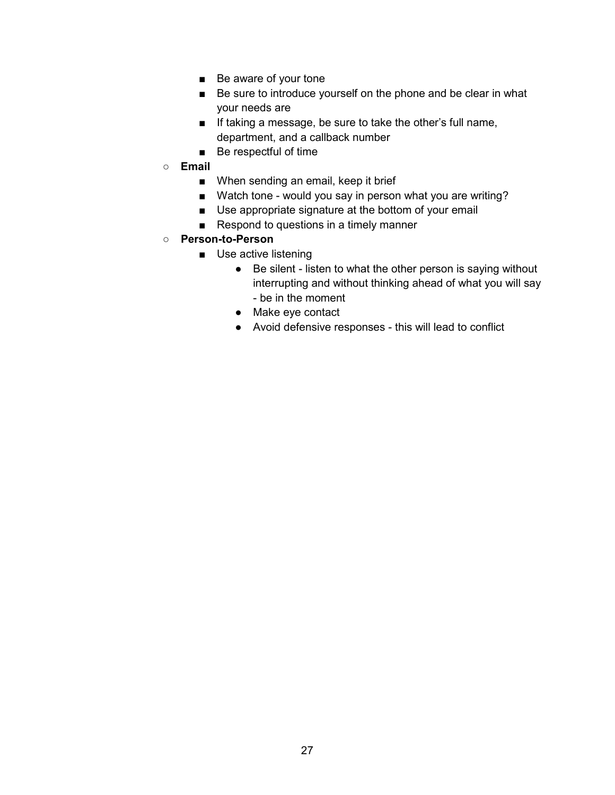- Be aware of your tone
- Be sure to introduce yourself on the phone and be clear in what your needs are
- If taking a message, be sure to take the other's full name, department, and a callback number
- Be respectful of time
- **Email**
	- When sending an email, keep it brief
	- Watch tone would you say in person what you are writing?
	- Use appropriate signature at the bottom of your email
	- Respond to questions in a timely manner
- **Person-to-Person**
	- Use active listening
		- Be silent listen to what the other person is saying without interrupting and without thinking ahead of what you will say - be in the moment
		- Make eye contact
		- Avoid defensive responses this will lead to conflict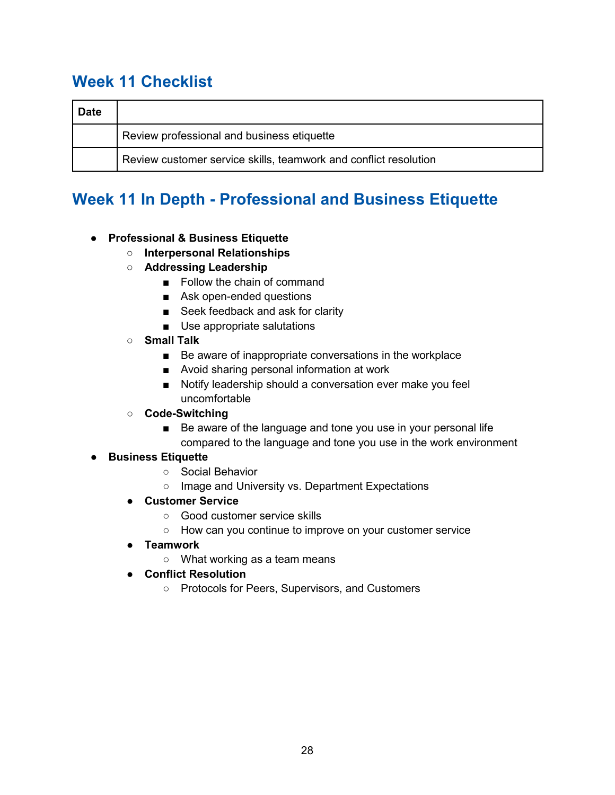### <span id="page-27-0"></span>**Week 11 Checklist**

| <b>Date</b> |                                                                  |
|-------------|------------------------------------------------------------------|
|             | Review professional and business etiquette                       |
|             | Review customer service skills, teamwork and conflict resolution |

### <span id="page-27-1"></span>**Week 11 In Depth - Professional and Business Etiquette**

#### ● **Professional & Business Etiquette**

- **Interpersonal Relationships**
- **Addressing Leadership**
	- Follow the chain of command
	- Ask open-ended questions
	- Seek feedback and ask for clarity
	- Use appropriate salutations
- **Small Talk**
	- Be aware of inappropriate conversations in the workplace
	- Avoid sharing personal information at work
	- Notify leadership should a conversation ever make you feel uncomfortable
- **Code-Switching**
	- Be aware of the language and tone you use in your personal life compared to the language and tone you use in the work environment

#### ● **Business Etiquette**

- Social Behavior
- Image and University vs. Department Expectations
- **Customer Service**
	- Good customer service skills
	- How can you continue to improve on your customer service
- **Teamwork**
	- What working as a team means
- **Conflict Resolution**
	- Protocols for Peers, Supervisors, and Customers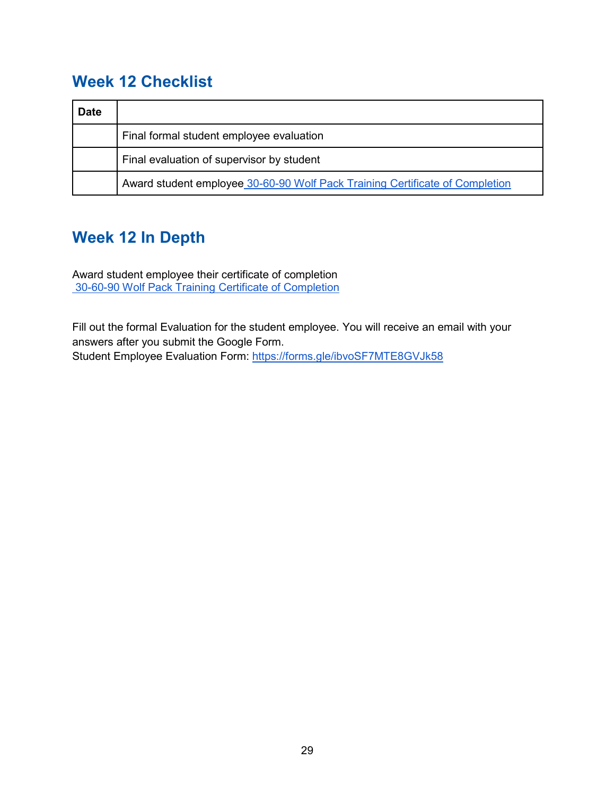### <span id="page-28-0"></span>**Week 12 Checklist**

| <b>Date</b> |                                                                              |  |
|-------------|------------------------------------------------------------------------------|--|
|             | Final formal student employee evaluation                                     |  |
|             | Final evaluation of supervisor by student                                    |  |
|             | Award student employee 30-60-90 Wolf Pack Training Certificate of Completion |  |

## <span id="page-28-1"></span>**Week 12 In Depth**

Award student employee their certificate of completion [30-60-90 Wolf Pack Training Certificate of Completion](https://docs.google.com/document/d/1UHjDqGkECGRuEqkTeGNbj93Tb6Q1Jibw/edit?usp=sharing&ouid=109067726623696572347&rtpof=true&sd=true)

Fill out the formal Evaluation for the student employee. You will receive an email with your answers after you submit the Google Form. Student Employee Evaluation Form:<https://forms.gle/ibvoSF7MTE8GVJk58>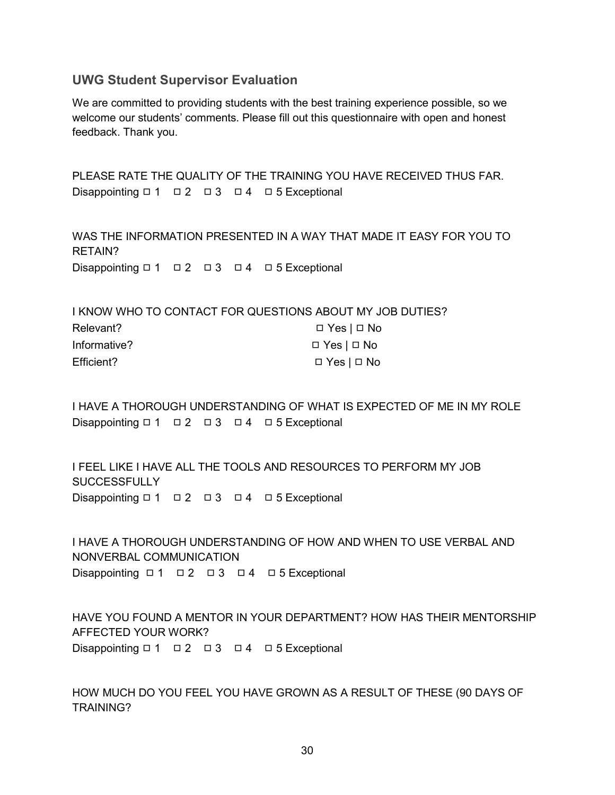#### <span id="page-29-0"></span>**UWG Student Supervisor Evaluation**

We are committed to providing students with the best training experience possible, so we welcome our students' comments. Please fill out this questionnaire with open and honest feedback. Thank you.

PLEASE RATE THE QUALITY OF THE TRAINING YOU HAVE RECEIVED THUS FAR. Disappointing □ 1 □ 2 □ 3 □ 4 □ 5 Exceptional

WAS THE INFORMATION PRESENTED IN A WAY THAT MADE IT EASY FOR YOU TO RETAIN? Disappointing □ 1 □ 2 □ 3 □ 4 □ 5 Exceptional

|              | I KNOW WHO TO CONTACT FOR QUESTIONS ABOUT MY JOB DUTIES? |
|--------------|----------------------------------------------------------|
| Relevant?    | □ Yes   □ No                                             |
| Informative? | □ Yes   □ No                                             |
| Efficient?   | $\Box$ Yes $\Box$ No                                     |

I HAVE A THOROUGH UNDERSTANDING OF WHAT IS EXPECTED OF ME IN MY ROLE Disappointing □ 1 □ 2 □ 3 □ 4 □ 5 Exceptional

I FEEL LIKE I HAVE ALL THE TOOLS AND RESOURCES TO PERFORM MY JOB **SUCCESSFULLY** Disappointing □ 1 □ 2 □ 3 □ 4 □ 5 Exceptional

I HAVE A THOROUGH UNDERSTANDING OF HOW AND WHEN TO USE VERBAL AND NONVERBAL COMMUNICATION Disappointing ロ1 ロ2 ロ3 ロ4 ロ5 Exceptional

HAVE YOU FOUND A MENTOR IN YOUR DEPARTMENT? HOW HAS THEIR MENTORSHIP AFFECTED YOUR WORK? Disappointing □ 1 □ 2 □ 3 □ 4 □ 5 Exceptional

HOW MUCH DO YOU FEEL YOU HAVE GROWN AS A RESULT OF THESE (90 DAYS OF TRAINING?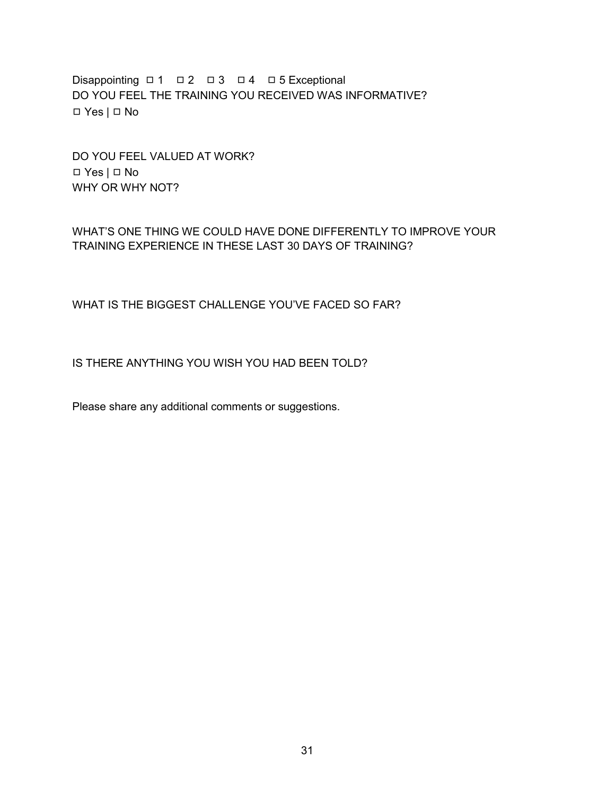Disappointing □ 1 □ 2 □ 3 □ 4 □ 5 Exceptional DO YOU FEEL THE TRAINING YOU RECEIVED WAS INFORMATIVE? ◻ Yes | ◻ No

DO YOU FEEL VALUED AT WORK? ◻ Yes | ◻ No WHY OR WHY NOT?

WHAT'S ONE THING WE COULD HAVE DONE DIFFERENTLY TO IMPROVE YOUR TRAINING EXPERIENCE IN THESE LAST 30 DAYS OF TRAINING?

WHAT IS THE BIGGEST CHALLENGE YOU'VE FACED SO FAR?

IS THERE ANYTHING YOU WISH YOU HAD BEEN TOLD?

Please share any additional comments or suggestions.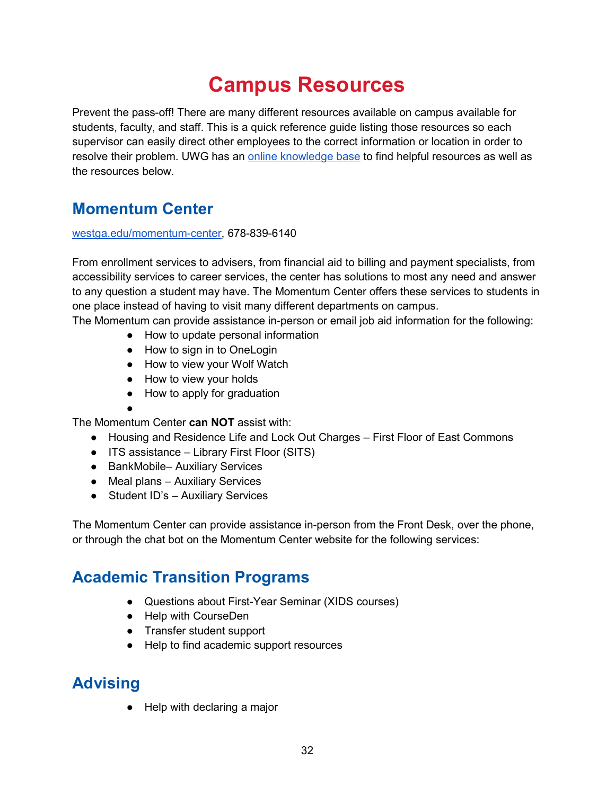# **Campus Resources**

<span id="page-31-0"></span>Prevent the pass-off! There are many different resources available on campus available for students, faculty, and staff. This is a quick reference guide listing those resources so each supervisor can easily direct other employees to the correct information or location in order to resolve their problem. UWG has an [online knowledge base](https://uwgonline.service-now.com/kb/?id=success_tools) to find helpful resources as well as the resources below.

### <span id="page-31-1"></span>**Momentum Center**

#### [westga.edu/momentum-center,](http://westga.edu/momentum-center) 678-839-6140

From enrollment services to advisers, from financial aid to billing and payment specialists, from accessibility services to career services, the center has solutions to most any need and answer to any question a student may have. The Momentum Center offers these services to students in one place instead of having to visit many different departments on campus.

The Momentum can provide assistance in-person or email job aid information for the following:

- How to update personal information
- How to sign in to OneLogin
- How to view your Wolf Watch
- How to view your holds
- How to apply for graduation
- ●

The Momentum Center **can NOT** assist with:

- Housing and Residence Life and Lock Out Charges First Floor of East Commons
- ITS assistance Library First Floor (SITS)
- BankMobile– Auxiliary Services
- Meal plans Auxiliary Services
- Student ID's Auxiliary Services

The Momentum Center can provide assistance in-person from the Front Desk, over the phone, or through the chat bot on the Momentum Center website for the following services:

### <span id="page-31-2"></span>**Academic Transition Programs**

- Questions about First-Year Seminar (XIDS courses)
- Help with CourseDen
- Transfer student support
- Help to find academic support resources

### <span id="page-31-3"></span>**Advising**

● Help with declaring a major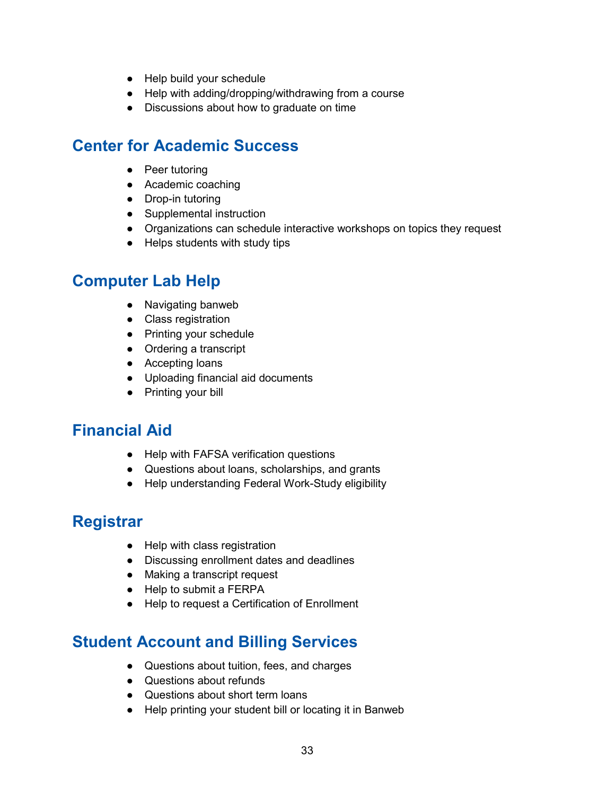- Help build your schedule
- Help with adding/dropping/withdrawing from a course
- Discussions about how to graduate on time

### <span id="page-32-0"></span>**Center for Academic Success**

- Peer tutoring
- Academic coaching
- Drop-in tutoring
- Supplemental instruction
- Organizations can schedule interactive workshops on topics they request
- Helps students with study tips

### <span id="page-32-1"></span>**Computer Lab Help**

- Navigating banweb
- Class registration
- Printing your schedule
- Ordering a transcript
- Accepting loans
- Uploading financial aid documents
- Printing your bill

### <span id="page-32-2"></span>**Financial Aid**

- Help with FAFSA verification questions
- Questions about loans, scholarships, and grants
- Help understanding Federal Work-Study eligibility

### <span id="page-32-3"></span>**Registrar**

- Help with class registration
- Discussing enrollment dates and deadlines
- Making a transcript request
- Help to submit a FERPA
- Help to request a Certification of Enrollment

### <span id="page-32-4"></span>**Student Account and Billing Services**

- Questions about tuition, fees, and charges
- Questions about refunds
- Questions about short term loans
- Help printing your student bill or locating it in Banweb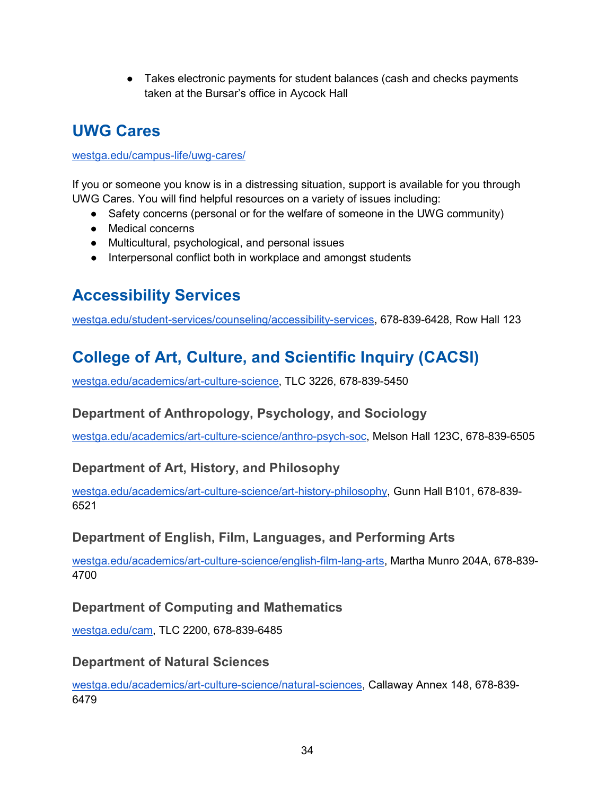• Takes electronic payments for student balances (cash and checks payments taken at the Bursar's office in Aycock Hall

### <span id="page-33-0"></span>**UWG Cares**

#### [westga.edu/campus-life/uwg-cares/](http://westga.edu/campus-life/uwg-cares/)

If you or someone you know is in a distressing situation, support is available for you through UWG Cares. You will find helpful resources on a variety of issues including:

- Safety concerns (personal or for the welfare of someone in the UWG community)
- Medical concerns
- Multicultural, psychological, and personal issues
- Interpersonal conflict both in workplace and amongst students

## <span id="page-33-1"></span>**Accessibility Services**

<span id="page-33-2"></span>[westga.edu/student-services/counseling/accessibility-services,](http://westga.edu/student-services/counseling/accessibility-services) 678-839-6428, Row Hall 123

## **College of Art, Culture, and Scientific Inquiry (CACSI)**

<span id="page-33-3"></span>[westga.edu/academics/art-culture-science,](https://www.westga.edu/academics/art-culture-science/index.php) TLC 3226, 678-839-5450

### **Department of Anthropology, Psychology, and Sociology**

<span id="page-33-4"></span>[westga.edu/academics/art-culture-science/anthro-psych-soc,](https://www.westga.edu/academics/art-culture-science/anthro-psych-soc/index.php) Melson Hall 123C, 678-839-6505

### **Department of Art, History, and Philosophy**

[westga.edu/academics/art-culture-science/art-history-philosophy,](https://www.westga.edu/academics/art-culture-science/art-history-philosophy/index.php) Gunn Hall B101, 678-839- 6521

### <span id="page-33-5"></span>**Department of English, Film, Languages, and Performing Arts**

[westga.edu/academics/art-culture-science/english-film-lang-arts,](https://www.westga.edu/academics/art-culture-science/english-film-lang-arts/index.php) Martha Munro 204A, 678-839- 4700

### <span id="page-33-6"></span>**Department of Computing and Mathematics**

<span id="page-33-7"></span>[westga.edu/cam,](http://westga.edu/cam) TLC 2200, 678-839-6485

#### **Department of Natural Sciences**

[westga.edu/academics/art-culture-science/natural-sciences,](https://www.westga.edu/academics/art-culture-science/natural-sciences/index.php) Callaway Annex 148, 678-839- 6479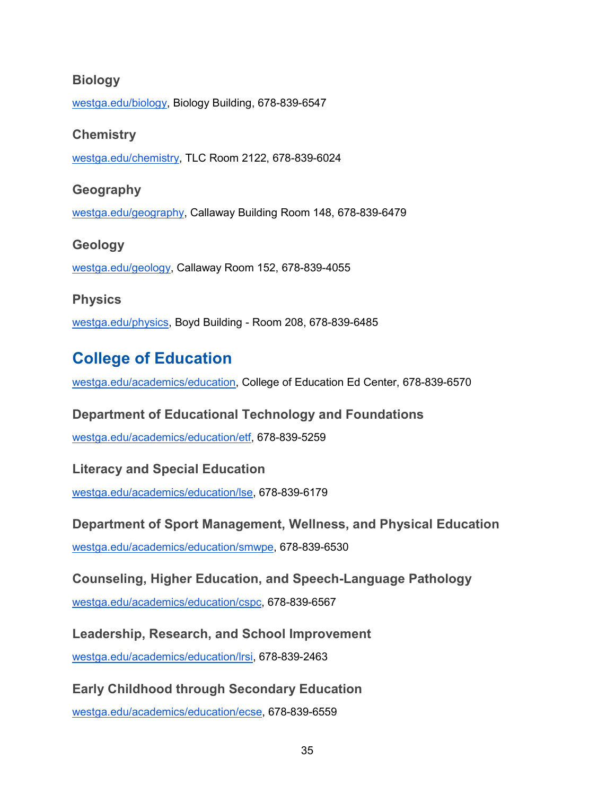#### <span id="page-34-0"></span>**Biology**

<span id="page-34-1"></span>[westga.edu/biology,](http://westga.edu/biology) Biology Building, 678-839-6547

#### **Chemistry**

<span id="page-34-2"></span>[westga.edu/chemistry,](http://westga.edu/chemistry) TLC Room 2122, 678-839-6024

#### **Geography**

<span id="page-34-3"></span>[westga.edu/geography,](https://www.westga.edu/geography/) Callaway Building Room 148, 678-839-6479

## **Geology**  [westga.edu/geology,](https://westga.edu/geology) Callaway Room 152, 678-839-4055

#### <span id="page-34-4"></span>**Physics**

<span id="page-34-5"></span>[westga.edu/physics,](https://westga.edu/physics) Boyd Building - Room 208, 678-839-6485

### **College of Education**

<span id="page-34-6"></span>[westga.edu/academics/education,](https://www.westga.edu/academics/education/) College of Education Ed Center, 678-839-6570

### **Department of Educational Technology and Foundations**

<span id="page-34-7"></span>[westga.edu/academics/education/etf,](https://www.westga.edu/academics/education/etf/index.php) 678-839-5259

#### **Literacy and Special Education**

<span id="page-34-8"></span>[westga.edu/academics/education/lse,](https://www.westga.edu/academics/education/lse/index.php) 678-839-6179

#### **Department of Sport Management, Wellness, and Physical Education**

<span id="page-34-9"></span>[westga.edu/academics/education/smwpe,](https://www.westga.edu/academics/education/smwpe/index.php) 678-839-6530

### **Counseling, Higher Education, and Speech-Language Pathology**

<span id="page-34-10"></span>[westga.edu/academics/education/cspc,](https://www.westga.edu/academics/education/cspc/index.php) 678-839-6567

### **Leadership, Research, and School Improvement**

<span id="page-34-11"></span>[westga.edu/academics/education/lrsi,](https://www.westga.edu/academics/education/lrsi/index.php) 678-839-2463

### **Early Childhood through Secondary Education**

[westga.edu/academics/education/ecse,](https://www.westga.edu/academics/education/ecse/index.php) 678-839-6559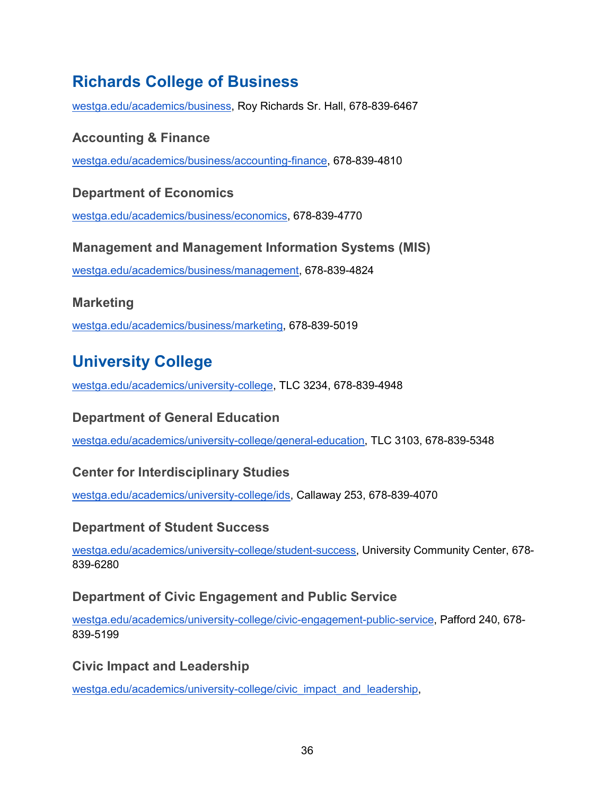### <span id="page-35-0"></span>**Richards College of Business**

<span id="page-35-1"></span>[westga.edu/academics/business,](https://www.westga.edu/academics/business/index.php) Roy Richards Sr. Hall, 678-839-6467

### **Accounting & Finance**

<span id="page-35-2"></span>[westga.edu/academics/business/accounting-finance,](https://www.westga.edu/academics/business/accounting-finance/index.php) 678-839-4810

### **Department of Economics**

<span id="page-35-3"></span>[westga.edu/academics/business/economics,](https://www.westga.edu/academics/business/economics/index.php) 678-839-4770

#### **Management and Management Information Systems (MIS)**

<span id="page-35-4"></span>[westga.edu/academics/business/management,](https://www.westga.edu/academics/business/management/index.php) 678-839-4824

### **Marketing**

<span id="page-35-5"></span>[westga.edu/academics/business/marketing,](https://www.westga.edu/academics/business/marketing/index.php) 678-839-5019

### **University College**

<span id="page-35-6"></span>[westga.edu/academics/university-college,](https://www.westga.edu/academics/university-college/index.php) TLC 3234, 678-839-4948

### **Department of General Education**

<span id="page-35-7"></span>[westga.edu/academics/university-college/general-education,](https://www.westga.edu/academics/university-college/general-education/index.php) TLC 3103, 678-839-5348

### **Center for Interdisciplinary Studies**

<span id="page-35-8"></span>[westga.edu/academics/university-college/ids,](https://www.westga.edu/academics/university-college/ids/index.php) Callaway 253, 678-839-4070

#### **Department of Student Success**

[westga.edu/academics/university-college/student-success,](https://www.westga.edu/academics/university-college/student-success/index.php) University Community Center, 678- 839-6280

#### <span id="page-35-9"></span>**Department of Civic Engagement and Public Service**

[westga.edu/academics/university-college/civic-engagement-public-service,](https://www.westga.edu/academics/university-college/civic-engagement-public-service/index.php) Pafford 240, 678- 839-5199

### <span id="page-35-10"></span>**Civic Impact and Leadership**

[westga.edu/academics/university-college/civic\\_impact\\_and\\_leadership,](https://www.westga.edu/academics/university-college/civic_impact_and_leadership.php)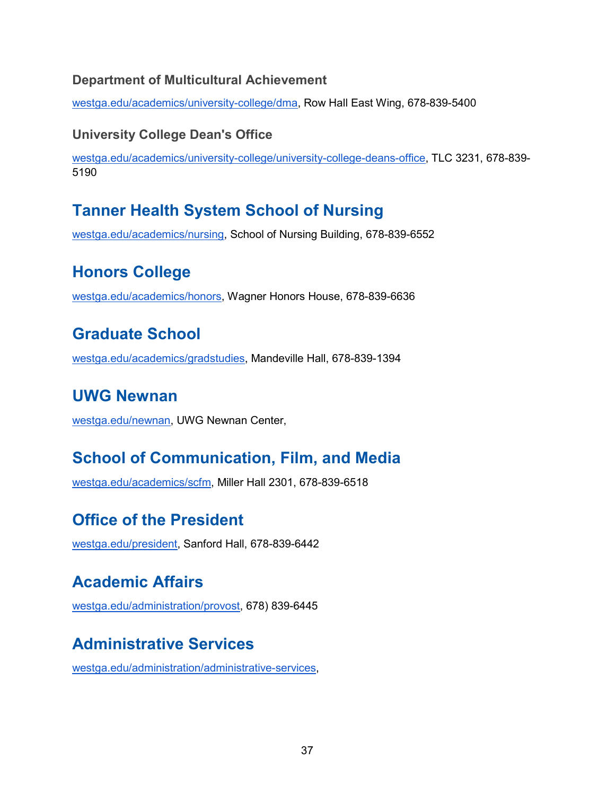### <span id="page-36-0"></span>**Department of Multicultural Achievement**

<span id="page-36-1"></span>[westga.edu/academics/university-college/dma,](https://www.westga.edu/academics/university-college/dma/index.php) Row Hall East Wing, 678-839-5400

### **University College Dean's Office**

[westga.edu/academics/university-college/university-college-deans-office,](https://www.westga.edu/academics/university-college/university-college-deans-office.php) TLC 3231, 678-839- 5190

### <span id="page-36-2"></span>**Tanner Health System School of Nursing**

<span id="page-36-3"></span>[westga.edu/academics/nursing,](https://www.westga.edu/academics/nursing/index.php) School of Nursing Building, 678-839-6552

### **Honors College**

<span id="page-36-4"></span>[westga.edu/academics/honors,](https://www.westga.edu/academics/honors/) Wagner Honors House, 678-839-6636

### **Graduate School**

<span id="page-36-5"></span>[westga.edu/academics/gradstudies,](https://www.westga.edu/academics/gradstudies/) Mandeville Hall, 678-839-1394

### **UWG Newnan**

<span id="page-36-6"></span>[westga.edu/newnan,](https://www.westga.edu/newnan/) UWG Newnan Center,

### **School of Communication, Film, and Media**

<span id="page-36-7"></span>[westga.edu/academics/scfm,](https://www.westga.edu/academics/scfm/index.php) Miller Hall 2301, 678-839-6518

### **Office of the President**

<span id="page-36-8"></span>[westga.edu/president,](https://www.westga.edu/president/) Sanford Hall, 678-839-6442

### **Academic Affairs**

<span id="page-36-9"></span>[westga.edu/administration/provost,](http://westga.edu/administration/provost) 678) 839-6445

### **Administrative Services**

[westga.edu/administration/administrative-services,](https://www.westga.edu/administration/administrative-services/)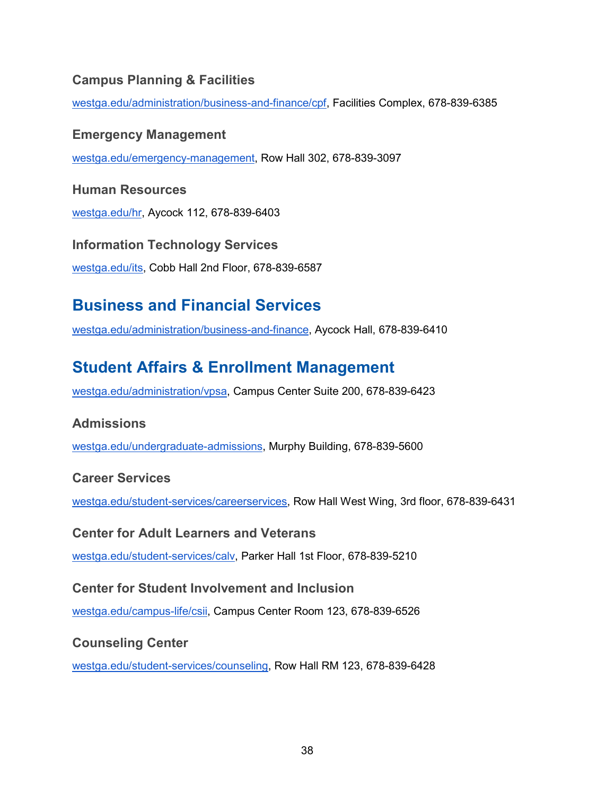### <span id="page-37-0"></span>**Campus Planning & Facilities**

<span id="page-37-1"></span>[westga.edu/administration/business-and-finance/cpf,](https://www.westga.edu/administration/business-and-finance/cpf/index.php) Facilities Complex, 678-839-6385

#### **Emergency Management**

<span id="page-37-2"></span>[westga.edu/emergency-management,](http://westga.edu/emergency-management) Row Hall 302, 678-839-3097

#### **Human Resources**

<span id="page-37-3"></span>[westga.edu/hr,](https://www.westga.edu/hr/index.php) Aycock 112, 678-839-6403

### **Information Technology Services**  [westga.edu/its,](https://www.westga.edu/its/) Cobb Hall 2nd Floor, 678-839-6587

### <span id="page-37-4"></span>**Business and Financial Services**

<span id="page-37-5"></span>[westga.edu/administration/business-and-finance,](https://www.westga.edu/administration/business-and-finance/index.php) Aycock Hall, 678-839-6410

### **Student Affairs & Enrollment Management**

<span id="page-37-6"></span>[westga.edu/administration/vpsa,](https://www.westga.edu/administration/vpsa/index.php) Campus Center Suite 200, 678-839-6423

### **Admissions**

<span id="page-37-7"></span>[westga.edu/undergraduate-admissions,](https://www.westga.edu/undergraduate-admissions/index.php) Murphy Building, 678-839-5600

#### **Career Services**

<span id="page-37-8"></span>[westga.edu/student-services/careerservices,](https://www.westga.edu/student-services/careerservices/index.php) Row Hall West Wing, 3rd floor, 678-839-6431

#### **Center for Adult Learners and Veterans**

<span id="page-37-9"></span>[westga.edu/student-services/calv,](https://www.westga.edu/student-services/calv/index.php) Parker Hall 1st Floor, 678-839-5210

#### **Center for Student Involvement and Inclusion**

<span id="page-37-10"></span>[westga.edu/campus-life/csii,](https://www.westga.edu/campus-life/csii/index.php) Campus Center Room 123, 678-839-6526

#### **Counseling Center**

[westga.edu/student-services/counseling,](https://www.westga.edu/student-services/counseling/index.php) Row Hall RM 123, 678-839-6428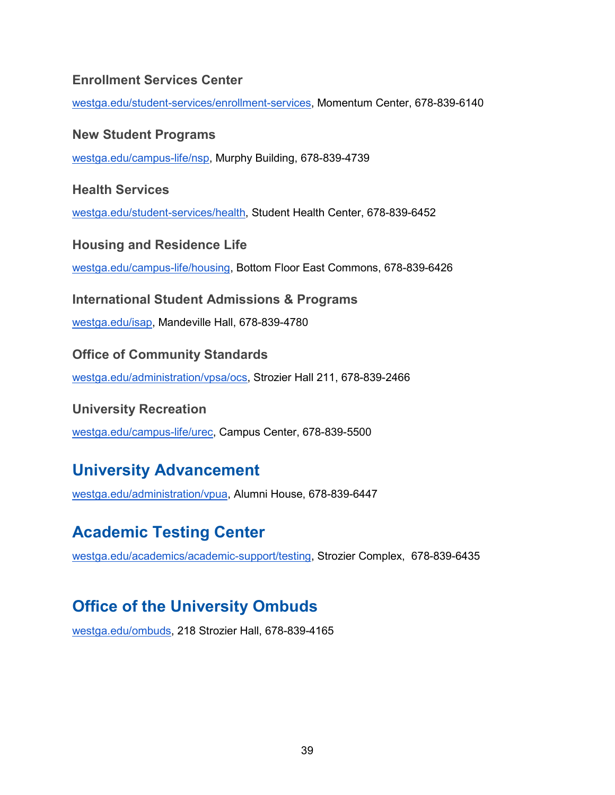#### <span id="page-38-0"></span>**Enrollment Services Center**

<span id="page-38-1"></span>[westga.edu/student-services/enrollment-services,](https://www.westga.edu/student-services/enrollment-services/index.php) Momentum Center, 678-839-6140

#### **New Student Programs**

<span id="page-38-2"></span>[westga.edu/campus-life/nsp,](https://www.westga.edu/campus-life/index.php) Murphy Building, 678-839-4739

**Health Services** 

<span id="page-38-3"></span>[westga.edu/student-services/health,](https://www.westga.edu/student-services/health/) Student Health Center, 678-839-6452

**Housing and Residence Life** 

<span id="page-38-4"></span>[westga.edu/campus-life/housing,](https://www.westga.edu/campus-life/housing/) Bottom Floor East Commons, 678-839-6426

**International Student Admissions & Programs** 

<span id="page-38-5"></span>[westga.edu/isap,](https://www.westga.edu/isap/index.php) Mandeville Hall, 678-839-4780

**Office of Community Standards** 

<span id="page-38-6"></span>[westga.edu/administration/vpsa/ocs,](https://www.westga.edu/administration/vpsa/ocs/) Strozier Hall 211, 678-839-2466

#### **University Recreation**

<span id="page-38-7"></span>[westga.edu/campus-life/urec,](https://www.westga.edu/campus-life/urec/index.php) Campus Center, 678-839-5500

### **University Advancement**

<span id="page-38-8"></span>[westga.edu/administration/vpua,](https://www.westga.edu/administration/advancement/index.php) Alumni House, 678-839-6447

### **Academic Testing Center**

[westga.edu/academics/academic-support/testing,](https://www.westga.edu/academics/academic-support/testing/index.php) Strozier Complex, 678-839-6435

### <span id="page-38-9"></span>**Office of the University Ombuds**

[westga.edu/ombuds,](https://www.westga.edu/ombuds/) 218 Strozier Hall, 678-839-4165